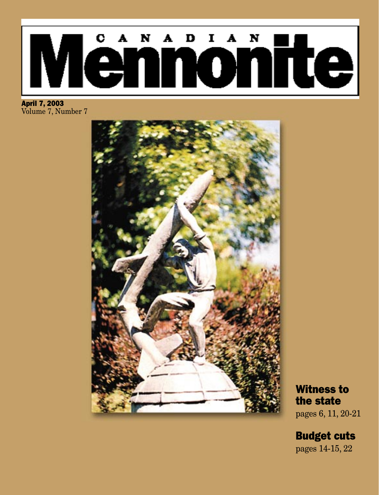# CANADIAN <u>lënnonite</u> IV

April 7, 2003 Volume 7, Number 7



Witness to the state pages 6, 11, 20-21

Budget cuts

pages 14-15, 22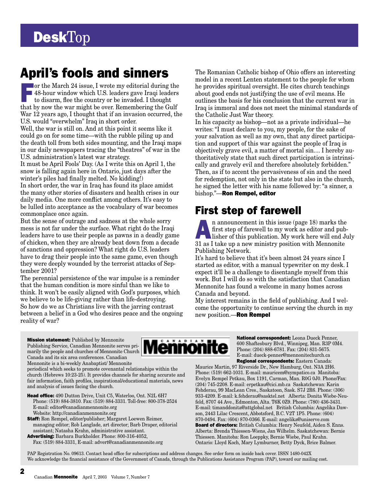## April's fools and sinners

For the March 24 issue, I wrote my editorial during the 48-hour window which U.S. leaders gave Iraqi leaders to disarm, flee the country or be invaded. I thought that by now the war might be over. Remembering the Gulf War 12 years ago, I thought that if an invasion occurred, the U.S. would "overwhelm" Iraq in short order.

Well, the war is still on. And at this point it seems like it could go on for some time—with the rubble piling up and the death toll from both sides mounting, and the Iraqi maps in our daily newspapers tracing the "theatres" of war in the U.S. administration's latest war strategy.

It must be April Fools' Day. (As I write this on April 1, the snow is falling again here in Ontario, just days after the winter's piles had finally melted. No kidding!) In short order, the war in Iraq has found its place amidst

the many other stories of disasters and health crises in our daily media. One more conflict among others. It's easy to be lulled into acceptance as the vocabulary of war becomes commonplace once again.

But the sense of outrage and sadness at the whole sorry mess is not far under the surface. What right do the Iraqi leaders have to use their people as pawns in a deadly game of chicken, when they are already beat down from a decade of sanctions and oppression? What right do U.S. leaders have to drag their people into the same game, even though they were deeply wounded by the terrorist attacks of September 2001?

The perennial persistence of the war impulse is a reminder that the human condition is more sinful than we like to think. It won't be easily aligned with God's purposes, which we believe to be life-giving rather than life-destroying. So how do we as Christians live with the jarring contrast between a belief in a God who desires peace and the ongoing reality of war?

The Romanian Catholic bishop of Ohio offers an interesting model in a recent Lenten statement to the people for whom he provides spiritual oversight. He cites church teachings about good ends not justifying the use of evil means. He outlines the basis for his conclusion that the current war in Iraq is immoral and does not meet the minimal standards of the Catholic Just War theory.

In his capacity as bishop—not as a private individual—he writes: "I must declare to you, my people, for the sake of your salvation as well as my own, that any direct participation and support of this war against the people of Iraq is objectively grave evil, a matter of mortal sin.... I hereby authoritatively state that such direct participation is intrinsically and gravely evil and therefore absolutely forbidden." Then, as if to accent the pervasiveness of sin and the need for redemption, not only in the state but also in the church, he signed the letter with his name followed by: "a sinner, a bishop."—Ron Rempel, editor

## First step of farewell

**A**<br> **h** announcement in this issue (page 18) marks the<br> **first step of farewell to my work as editor and publisher of this publication. My work here will end July<br>
<b>a**<br> **h** announcement of this publication. We work here w first step of farewell to my work as editor and pub-31 as I take up a new ministry position with Mennonite Publishing Network.

It's hard to believe that it's been almost 24 years since I started as editor, with a manual typewriter on my desk. I expect it'll be a challenge to disentangle myself from this work. But I will do so with the satisfaction that Canadian Mennonite has found a welcome in many homes across Canada and beyond.

My interest remains in the field of publishing. And I welcome the opportunity to continue serving the church in my new position.—Ron Rempel

**Mission statement:** Published by Mennonite Publishing Service, Canadian Mennonite serves primarily the people and churches of Mennonite Church Canada and its six area conferences. Canadian Mennonite is a bi-weekly Anabaptist/ Mennonite

periodical which seeks to promote covenantal relationships within the church (Hebrews 10:23-25). It provides channels for sharing accurate and fair information, faith profiles, inspirational/educational materials, news and analysis of issues facing the church.

Head office: 490 Dutton Drive, Unit C5, Waterloo, Ont. N2L 6H7 Phone: (519) 884-3810. Fax: (519) 884-3331. Toll-free: 800-378-2524 E-mail: editor@canadianmennonite.org Website: http://canadianmennonite.org

Staff: Ron Rempel, editor/publisher; Margaret Loewen Reimer, managing editor; Rob Langlade, art director; Barb Draper, editorial assistant; Natasha Krahn, administrative assistant.

Advertising: Barbara Burkholder. Phone: 800-316-4052, Fax: (519) 884-3331, E-mail: advert@canadianmennonite.org



National correspondent: Leona Dueck Penner, 600 Shaftesbury Blvd., Winnipeg, Man. R3P 0M4. Phone: (204) 888-6781. Fax: (204) 831-5675. E-mail: dueck-penner@mennonitechurch.ca Regional correspondents: Eastern Canada:

Maurice Martin, 97 Riverside Dr., New Hamburg, Ont. N3A 2H6. Phone: (519) 662-1031. E-mail: mauricem@sympatico.ca Manitoba: Evelyn Rempel Petkau, Box 1191, Carman, Man. R0G 0J0. Phone/Fax: (204) 745-2208. E-mail: erpetkau@cici.mb.ca Saskatchewan: Karin Fehderau, 99 MacLean Cres., Saskatoon, Sask. S7J 2R6. Phone: (306) 933-4209. E-mail: k.fehderau@sasktel.net Alberta: Donita Wiebe-Neufeld, 8707 44 Ave., Edmonton, Alta. T6K 0Z9. Phone: (780) 436-3431. E-mail: timanddonita@attglobal.net British Columbia: Angelika Dawson, 2443 Lilac Crescent, Abbotsford, B.C. V2T 1P5. Phone: (604) 870-0494. Fax: (604) 870-0366. E-mail: angelika@uniserve.com Board of directors: British Columbia: Henry Neufeld, Aiden S. Enns. Alberta: Brenda Thiessen-Wiens, Jan Wilhelm. Saskatchewan: Bernie Thiessen. Manitoba: Ron Loeppky, Bernie Wiebe, Paul Krahn. Ontario: Lloyd Koch, Mary Lymburner, Betty Dyck, Brice Balmer.

PAP Registration No. 09613. Contact head office for subscriptions and address changes. See order form on inside back cover. ISSN 1480-042X We acknowledge the financial assistance of the Government of Canada, through the Publications Assistance Program (PAP), toward our mailing cost.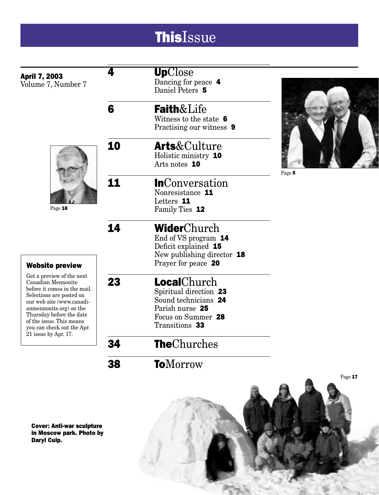## **ThisIssue**

|                                                          | 4  | <b>Up</b> Close            |         |
|----------------------------------------------------------|----|----------------------------|---------|
| <b>April 7, 2003</b><br>Volume 7, Number 7               |    | Dancing for peace 4        |         |
|                                                          |    | Daniel Peters 5            |         |
|                                                          | 6  | <b>Faith&amp;Life</b>      |         |
|                                                          |    | Witness to the state 6     |         |
|                                                          |    | Practising our witness 9   |         |
|                                                          | 10 | <b>Arts</b> &Culture       |         |
|                                                          |    | Holistic ministry 10       |         |
|                                                          |    | Arts notes 10              |         |
|                                                          | 11 | <b>InConversation</b>      | Page 5  |
| Page 18                                                  |    | Nonresistance 11           |         |
|                                                          |    | Letters 11                 |         |
|                                                          |    | Family Ties 12             |         |
|                                                          | 14 | WiderChurch                |         |
|                                                          |    | End of VS program 14       |         |
|                                                          |    | Deficit explained 15       |         |
|                                                          |    | New publishing director 18 |         |
| <b>Website preview</b>                                   |    | Prayer for peace 20        |         |
| Get a preview of the next<br>Canadian Mennonite          | 23 | LocalChurch                |         |
| before it comes in the mail.<br>Selections are posted on |    | Spiritual direction 23     |         |
| our web site (www.canadi-                                |    | Sound technicians 24       |         |
| anmennonite.org) on the<br>Thursday before the date      |    | Parish nurse 25            |         |
| of the issue. This means                                 |    | Focus on Summer 28         |         |
| you can check out the Apr.<br>21 issue by Apr. 17.       |    | Transitions 33             |         |
|                                                          | 34 | <b>TheChurches</b>         |         |
|                                                          | 38 | <b>ToMorrow</b>            |         |
|                                                          |    |                            | Page 17 |

Cover: Anti-war sculpture in Moscow park. Photo by Daryl Culp.

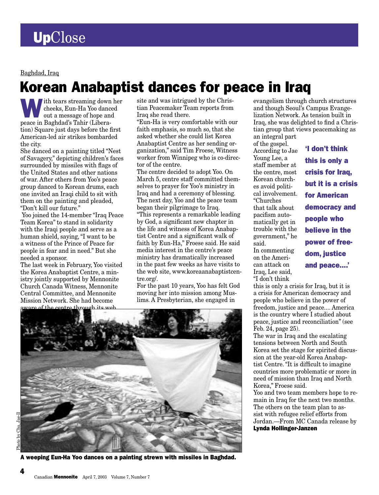Baghdad, Iraq

## Korean Anabaptist dances for peace in Iraq

ith tears streaming down her cheeks, Eun-Ha Yoo danced out a message of hope and peace in Baghdad's Tahir (Liberation) Square just days before the first American-led air strikes bombarded the city.

She danced on a painting titled "Nest of Savagery," depicting children's faces surrounded by missiles with flags of the United States and other nations of war. After others from Yoo's peace group danced to Korean drums, each one invited an Iraqi child to sit with them on the painting and pleaded, "Don't kill our future."

 Yoo joined the 14-member "Iraq Peace Team Korea" to stand in solidarity with the Iraqi people and serve as a human shield, saying, "I want to be a witness of the Prince of Peace for people in fear and in need." But she needed a sponsor.

The last week in February, Yoo visited the Korea Anabaptist Centre, a ministry jointly supported by Mennonite Church Canada Witness, Mennonite Central Committee, and Mennonite Mission Network. She had become aware of the centre through its web

site and was intrigued by the Christian Peacemaker Team reports from Iraq she read there.

"Eun-Ha is very comfortable with our faith emphasis, so much so, that she asked whether she could list Korea Anabaptist Centre as her sending organization," said Tim Froese, Witness worker from Winnipeg who is co-director of the centre.

The centre decided to adopt Yoo. On March 5, centre staff committed themselves to prayer for Yoo's ministry in Iraq and had a ceremony of blessing. The next day, Yoo and the peace team began their pilgrimage to Iraq. "This represents a remarkable leading by God, a significant new chapter in the life and witness of Korea Anabaptist Centre and a significant walk of faith by Eun-Ha," Froese said. He said media interest in the centre's peace ministry has dramatically increased in the past few weeks as have visits to the web site, www.koreaanabaptistcentre.org/.

For the past 10 years, Yoo has felt God moving her into mission among Muslims. A Presbyterian, she engaged in



A weeping Eun-Ha Yoo dances on a painting strewn with missiles in Baghdad.

evangelism through church structures and though Seoul's Campus Evangelization Network. As tension built in Iraq, she was delighted to find a Christian group that views peacemaking as an integral part

of the gospel. According to Jae Young Lee, a staff member at the centre, most Korean churches avoid political involvement. "Churches that talk about pacifism automatically get in trouble with the government," he said.

In commenting on the American attack on Iraq, Lee said, "I don't think

'I don't think this is only a crisis for Iraq, but it is a crisis for American democracy and people who believe in the power of freedom, justice and peace....'

this is only a crisis for Iraq, but it is a crisis for American democracy and people who believe in the power of freedom, justice and peace.... America is the country where I studied about peace, justice and reconciliation" (see Feb. 24, page 25).

The war in Iraq and the escalating tensions between North and South Korea set the stage for spirited discussion at the year-old Korea Anabaptist Centre. "It is difficult to imagine countries more problematic or more in need of mission than Iraq and North Korea," Froese said.

Yoo and two team members hope to remain in Iraq for the next two months. The others on the team plan to assist with refugee relief efforts from Jordan.—From MC Canada release by Lynda Hollinger-Janzen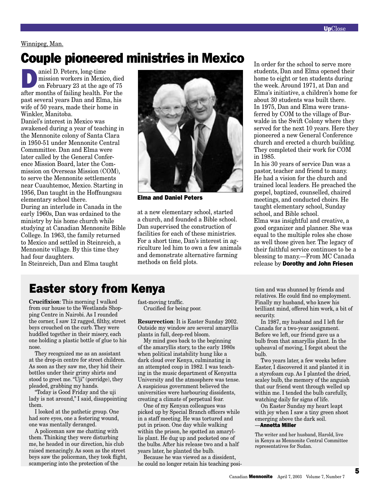#### Winnipeg, Man.

## Couple pioneered ministries in Mexico

aniel D. Peters, long-time<br>mission workers in Mexico<br>on February 23 at the age<br>of colling health E. mission workers in Mexico, died on February 23 at the age of 75 after months of failing health. For the past several years Dan and Elma, his wife of 50 years, made their home in Winkler, Manitoba.

Daniel's interest in Mexico was awakened during a year of teaching in the Mennonite colony of Santa Clara in 1950-51 under Mennonite Central Commmittee. Dan and Elma were later called by the General Conference Mission Board, later the Commission on Overseas Mission (COM), to serve the Mennonite settlements near Cuauhtemoc, Mexico. Starting in 1956, Dan taught in the Hoffnungsau elementary school there.

During an interlude in Canada in the early 1960s, Dan was ordained to the ministry by his home church while studying at Canadian Mennonite Bible College. In 1963, the family returned to Mexico and settled in Steinreich, a Mennonite village. By this time they had four daughters.

In Steinreich, Dan and Elma taught



Elma and Daniel Peters

at a new elementary school, started a church, and founded a Bible school. Dan supervised the construction of facilities for each of these ministries. For a short time, Dan's interest in agriculture led him to own a few animals and demonstrate alternative farming methods on field plots.

In order for the school to serve more students, Dan and Elma opened their home to eight or ten students during the week. Around 1971, at Dan and Elma's initiative, a children's home for about 30 students was built there. In 1975, Dan and Elma were transferred by COM to the village of Burwalde in the Swift Colony where they served for the next 10 years. Here they pioneered a new General Conference church and erected a church building. They completed their work for COM in 1985.

In his 30 years of service Dan was a pastor, teacher and friend to many. He had a vision for the church and trained local leaders. He preached the gospel, baptized, counselled, chaired meetings, and conducted choirs. He taught elementary school, Sunday school, and Bible school. Elma was insightful and creative, a

good organizer and planner. She was equal to the multiple roles she chose as well those given her. The legacy of their faithful service continues to be a blessing to many.—From MC Canada release by Dorothy and John Friesen

## Easter story from Kenya

**Crucifixion**: This morning I walked from our house to the Westlands Shopping Centre in Nairobi. As I rounded the corner, I saw 12 ragged, filthy, street boys crouched on the curb. They were huddled together in their misery, each one holding a plastic bottle of glue to his nose.

They recognized me as an assistant at the drop-in centre for street children. As soon as they saw me, they hid their bottles under their grimy shirts and stood to greet me. "Uji" (porridge), they pleaded, grabbing my hands.

"Today is Good Friday and the uji lady is not around," I said, disappointing them.

I looked at the pathetic group. One had sore eyes, one a festering wound, one was mentally deranged.

A policeman saw me chatting with them. Thinking they were disturbing me, he headed in our direction, his club raised menacingly. As soon as the street boys saw the policeman, they took flight, scampering into the protection of the

fast-moving traffic. Crucified for being poor.

**Resurrection**: It is Easter Sunday 2002. Outside my window are several amaryllis plants in full, deep-red bloom.

My mind goes back to the beginning of the amaryllis story, to the early 1980s when political instability hung like a dark cloud over Kenya, culminating in an attempted coup in 1982. I was teaching in the music department of Kenyatta University and the atmosphere was tense. A suspicious government believed the universities were harbouring dissidents, creating a climate of perpetual fear.

One of my Kenyan colleagues was picked up by Special Branch officers while in a staff meeting. He was tortured and put in prison. One day while walking within the prison, he spotted an amaryllis plant. He dug up and pocketed one of the bulbs. After his release two and a half years later, he planted the bulb.

Because he was viewed as a dissident, he could no longer retain his teaching position and was shunned by friends and relatives. He could find no employment. Finally my husband, who knew his brilliant mind, offered him work, a bit of security.

In 1987, my husband and I left for Canada for a two-year assignment. Before we left, our friend gave us a bulb from that amaryllis plant. In the upheaval of moving, I forgot about the bulb.

Two years later, a few weeks before Easter, I discovered it and planted it in a styrofoam cup. As I planted the dried, scaley bulb, the memory of the anguish that our friend went through welled up within me. I tended the bulb carefully, watching daily for signs of life.

On Easter Sunday my heart leapt with joy when I saw a tiny green shoot emerging above the dark soil. —Annetta Miller

The writer and her husband, Harold, live in Kenya as Mennonite Central Committee representatives for Sudan.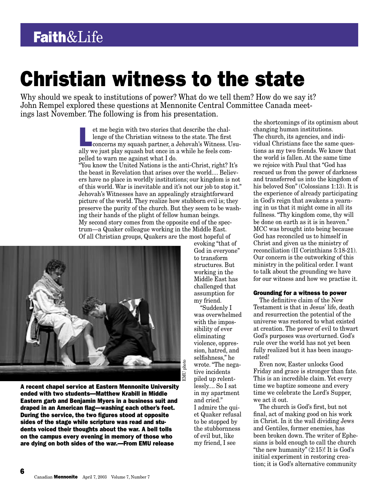# Christian witness to the state

Why should we speak to institutions of power? What do we tell them? How do we say it? John Rempel explored these questions at Mennonite Central Committee Canada meetings last November. The following is from his presentation.

> et me begin with two stories that describe the chal-<br>lenge of the Christian witness to the state. The first<br>concerns my squash partner, a Jehovah's Witness. Usu-<br>ally we just play squash but one in a while be feels sem lenge of the Christian witness to the state. The first ally we just play squash but once in a while he feels compelled to warn me against what I do.

> "You know the United Nations is the anti-Christ, right? It's the beast in Revelation that arises over the world.... Believers have no place in worldly institutions; our kingdom is not of this world. War is inevitable and it's not our job to stop it." Jehovah's Witnesses have an appealingly straightforward picture of the world. They realize how stubborn evil is; they preserve the purity of the church. But they seem to be washing their hands of the plight of fellow human beings. My second story comes from the opposite end of the spectrum—a Quaker colleague working in the Middle East. Of all Christian groups, Quakers are the most hopeful of



A recent chapel service at Eastern Mennonite University ended with two students—Matthew Krabill in Middle Eastern garb and Benjamin Myers in a business suit and draped in an American flag—washing each other's feet. During the service, the two figures stood at opposite sides of the stage while scripture was read and students voiced their thoughts about the war. A bell tolls on the campus every evening in memory of those who are dying on both sides of the war.—From EMU release

evoking "that of God in everyone" to transform structures. But working in the Middle East has challenged that assumption for my friend.

 "Suddenly I was overwhelmed with the impossibility of ever eliminating violence, oppression, hatred, and selfishness," he wrote. "The negative incidents piled up relentlessly.... So I sat in my apartment and cried." I admire the quiet Quaker refusal to be stopped by the stubbornness of evil but, like my friend, I see

the shortcomings of its optimism about changing human institutions. The church, its agencies, and individual Christians face the same questions as my two friends. We know that the world is fallen. At the same time we rejoice with Paul that "God has rescued us from the power of darkness and transferred us into the kingdom of his beloved Son" (Colossians 1:13). It is the experience of already participating in God's reign that awakens a yearning in us that it might come in all its fullness. "Thy kingdom come, thy will be done on earth as it is in heaven." MCC was brought into being because God has reconciled us to himself in Christ and given us the ministry of reconciliation (II Corinthians 5:18-21). Our concern is the outworking of this ministry in the political order. I want to talk about the grounding we have for our witness and how we practise it.

#### Grounding for a witness to power

The definitive claim of the New Testament is that in Jesus' life, death and resurrection the potential of the universe was restored to what existed at creation. The power of evil to thwart God's purposes was overturned. God's rule over the world has not yet been fully realized but it has been inaugurated!

Even now, Easter unlocks Good Friday and grace is stronger than fate. This is an incredible claim. Yet every time we baptize someone and every time we celebrate the Lord's Supper, we act it out.

The church is God's first, but not final, act of making good on his work in Christ. In it the wall dividing Jews and Gentiles, former enemies, has been broken down. The writer of Ephesians is bold enough to call the church "the new humanity"  $(2:15)!$  It is God's initial experiment in restoring creation; it is God's alternative community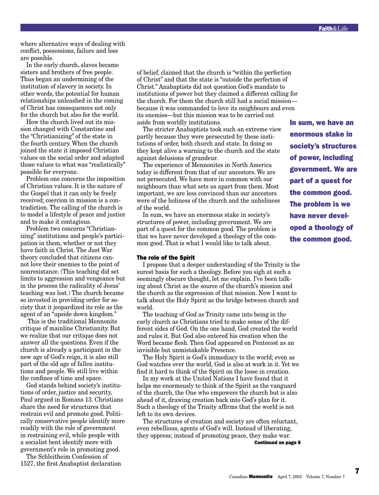where alternative ways of dealing with conflict, possessions, failure and loss are possible.

In the early church, slaves became sisters and brothers of free people. Thus began an undermining of the institution of slavery in society. In other words, the potential for human relationships unleashed in the coming of Christ has consequences not only for the church but also for the world.

How the church lived out its mission changed with Constantine and the "Christianizing" of the state in the fourth century. When the church joined the state it imposed Christian values on the social order and adapted those values to what was "realistically" possible for everyone.

Problem one concerns the imposition of Christian values. It is the nature of the Gospel that it can only be freely received; coercion in mission is a contradiction. The calling of the church is to model a lifestyle of peace and justice and to make it contagious.

Problem two concerns "Christianizing" institutions and people's participation in them, whether or not they have faith in Christ. The Just War theory concluded that citizens cannot love their enemies to the point of nonresistance. (This teaching did set limits to aggression and vengeance but in the process the radicality of Jesus' teaching was lost.) The church became so invested in providing order for society that it jeopardized its role as the agent of an "upside down kingdom."

 This is the traditional Mennonite critique of mainline Christianity. But we realize that our critique does not answer all the questions. Even if the church is already a participant in the new age of God's reign, it is also still part of the old age of fallen institutions and people. We still live within the confines of time and space.

God stands behind society's institutions of order, justice and security, Paul argued in Romans 13. Christians share the need for structures that restrain evil and promote good. Politically conservative people identify more readily with the role of government in restraining evil, while people with a socialist bent identify more with government's role in promoting good.

The Schleitheim Confession of 1527, the first Anabaptist declaration of belief, claimed that the church is "within the perfection of Christ" and that the state is "outside the perfection of Christ." Anabaptists did not question God's mandate to institutions of power but they claimed a different calling for the church. For them the church still had a social mission because it was commanded to love its neighbours and even its enemies—but this mission was to be carried out aside from worldly institutions.

The stricter Anabaptists took such an extreme view partly because they were persecuted by these institutions of order, both church and state. In doing so they kept alive a warning to the church and the state against delusions of grandeur.

The experience of Mennonites in North America today is different from that of our ancestors. We are not persecuted. We have more in common with our neighbours than what sets us apart from them. Most important, we are less convinced than our ancestors were of the holiness of the church and the unholiness of the world.

In sum, we have an enormous stake in society's structures of power, including government. We are part of a quest for the common good. The problem is that we have never developed a theology of the common good. That is what I would like to talk about.

#### The role of the Spirit

I propose that a deeper understanding of the Trinity is the surest basis for such a theology. Before you sigh at such a seemingly obscure thought, let me explain. I've been talking about Christ as the source of the church's mission and the church as the expression of that mission. Now I want to talk about the Holy Spirit as the bridge between church and world.

The teaching of God as Trinity came into being in the early church as Christians tried to make sense of the different sides of God. On the one hand, God created the world and rules it. But God also entered his creation when the Word became flesh. Then God appeared on Pentecost as an invisible but unmistakable Presence.

The Holy Spirit is God's immediacy to the world; even as God watches over the world, God is also at work in it. Yet we find it hard to think of the Spirit on the loose in creation.

In my work at the United Nations I have found that it helps me enormously to think of the Spirit as the vanguard of the church, the One who empowers the church but is also ahead of it, drawing creation back into God's plan for it. Such a theology of the Trinity affirms that the world is not left to its own devices.

The structures of creation and society are often reluctant, even rebellious, agents of God's will. Instead of liberating, they oppress; instead of promoting peace, they make war.

Continued on page 8

In sum, we have an enormous stake in society's structures of power, including government. We are part of a quest for the common good. The problem is we have never developed a theology of the common good.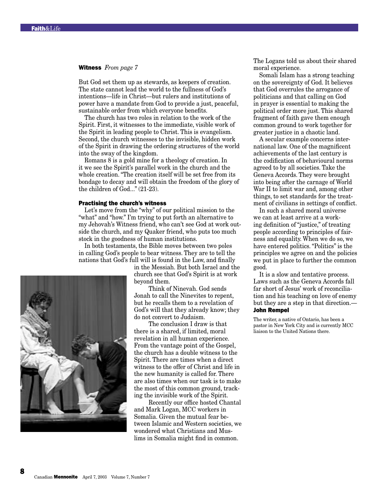#### Witness *From page 7*

But God set them up as stewards, as keepers of creation. The state cannot lead the world to the fullness of God's intentions—life in Christ—but rulers and institutions of power have a mandate from God to provide a just, peaceful, sustainable order from which everyone benefits.

The church has two roles in relation to the work of the Spirit. First, it witnesses to the immediate, visible work of the Spirit in leading people to Christ. This is evangelism. Second, the church witnesses to the invisible, hidden work of the Spirit in drawing the ordering structures of the world into the sway of the kingdom.

Romans 8 is a gold mine for a theology of creation. In it we see the Spirit's parallel work in the church and the whole creation. "The creation itself will be set free from its bondage to decay and will obtain the freedom of the glory of the children of God..." (21-23).

#### Practising the church's witness

Let's move from the "why" of our political mission to the "what" and "how." I'm trying to put forth an alternative to my Jehovah's Witness friend, who can't see God at work outside the church, and my Quaker friend, who puts too much stock in the goodness of human institutions.

In both testaments, the Bible moves between two poles in calling God's people to bear witness. They are to tell the nations that God's full will is found in the Law, and finally

> in the Messiah. But both Israel and the church see that God's Spirit is at work beyond them.

> Think of Ninevah. God sends Jonah to call the Ninevites to repent, but he recalls them to a revelation of God's will that they already know; they do not convert to Judaism.

The conclusion I draw is that there is a shared, if limited, moral revelation in all human experience. From the vantage point of the Gospel, the church has a double witness to the Spirit. There are times when a direct witness to the offer of Christ and life in the new humanity is called for. There are also times when our task is to make the most of this common ground, tracking the invisible work of the Spirit.

Recently our office hosted Chantal and Mark Logan, MCC workers in Somalia. Given the mutual fear between Islamic and Western societies, we wondered what Christians and Muslims in Somalia might find in common.

The Logans told us about their shared moral experience.

Somali Islam has a strong teaching on the sovereignty of God. It believes that God overrules the arrogance of politicians and that calling on God in prayer is essential to making the political order more just. This shared fragment of faith gave them enough common ground to work together for greater justice in a chaotic land.

A secular example concerns international law. One of the magnificent achievements of the last century is the codification of behavioural norms agreed to by all societies. Take the Geneva Accords. They were brought into being after the carnage of World War II to limit war and, among other things, to set standards for the treatment of civilians in settings of conflict.

In such a shared moral universe we can at least arrive at a working definition of "justice," of treating people according to principles of fairness and equality. When we do so, we have entered politics. "Politics" is the principles we agree on and the policies we put in place to further the common good.

It is a slow and tentative process. Laws such as the Geneva Accords fall far short of Jesus' work of reconciliation and his teaching on love of enemy but they are a step in that direction.— John Rempel

The writer, a native of Ontario, has been a pastor in New York City and is currently MCC liaison to the United Nations there.

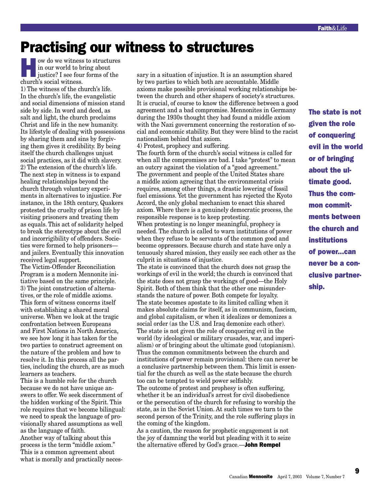## Practising our witness to structures

ow do we witness to structures<br>
in our world to bring about<br>
justice? I see four forms of the<br>
church's social uitness in our world to bring about church's social witness. 1) The witness of the church's life. In the church's life, the evangelistic and social dimensions of mission stand side by side. In word and deed, as salt and light, the church proclaims Christ and life in the new humanity. Its lifestyle of dealing with possessions by sharing them and sins by forgiving them gives it credibility. By being itself the church challenges unjust social practices, as it did with slavery. 2) The extension of the church's life. The next step in witness is to expand healing relationships beyond the church through voluntary experiments in alternatives to injustice. For instance, in the 18th century, Quakers protested the cruelty of prison life by visiting prisoners and treating them as equals. This act of solidarity helped to break the stereotype about the evil and incorrigibility of offenders. Societies were formed to help prisoners and jailers. Eventually this innovation received legal support.

The Victim-Offender Reconciliation Program is a modern Mennonite initiative based on the same principle. 3) The joint construction of alternatives, or the role of middle axioms. This form of witness concerns itself with establishing a shared moral universe. When we look at the tragic confrontation between Europeans and First Nations in North America, we see how long it has taken for the two parties to construct agreement on the nature of the problem and how to resolve it. In this process all the parties, including the church, are as much learners as teachers.

This is a humble role for the church because we do not have unique answers to offer. We seek discernment of the hidden working of the Spirit. This role requires that we become bilingual: we need to speak the language of provisionally shared assumptions as well as the language of faith.

Another way of talking about this process is the term "middle axiom." This is a common agreement about what is morally and practically necessary in a situation of injustice. It is an assumption shared by two parties to which both are accountable. Middle axioms make possible provisional working relationships between the church and other shapers of society's structures. It is crucial, of course to know the difference between a good agreement and a bad compromise. Mennonites in Germany during the 1930s thought they had found a middle axiom with the Nazi government concerning the restoration of social and economic stability. But they were blind to the racist nationalism behind that axiom.

4) Protest, prophecy and suffering.

The fourth form of the church's social witness is called for when all the compromises are bad. I take "protest" to mean an outcry against the violation of a "good agreement." The government and people of the United States share a middle axiom agreeing that the environmental crisis requires, among other things, a drastic lowering of fossil fuel emissions. Yet the government has rejected the Kyoto Accord, the only global mechanism to enact this shared axiom. Where there is a genuinely democratic process, the responsible response is to keep protesting. When protesting is no longer meaningful, prophecy is needed. The church is called to warn institutions of power when they refuse to be servants of the common good and become oppressors. Because church and state have only a tenuously shared mission, they easily see each other as the culprit in situations of injustice.

The state is convinced that the church does not grasp the workings of evil in the world; the church is convinced that the state does not grasp the workings of good—the Holy Spirit. Both of them think that the other one misunderstands the nature of power. Both compete for loyalty. The state becomes apostate to its limited calling when it makes absolute claims for itself, as in communism, fascism, and global capitalism, or when it idealizes or demonizes a social order (as the U.S. and Iraq demonize each other). The state is not given the role of conquering evil in the world (by ideological or military crusades, war, and imperialism) or of bringing about the ultimate good (utopianism). Thus the common commitments between the church and institutions of power remain provisional: there can never be a conclusive partnership between them. This limit is essential for the church as well as the state because the church too can be tempted to wield power selfishly. The outcome of protest and prophesy is often suffering, whether it be an individual's arrest for civil disobedience or the persecution of the church for refusing to worship the state, as in the Soviet Union. At such times we turn to the second person of the Trinity, and the role suffering plays in the coming of the kingdom.

As a caution, the reason for prophetic engagement is not the joy of damning the world but pleading with it to seize the alternative offered by God's grace.—**John Rempel** 

The state is not given the role of conquering evil in the world or of bringing about the ultimate good. Thus the common commitments between the church and institutions of power...can never be a conclusive partnership.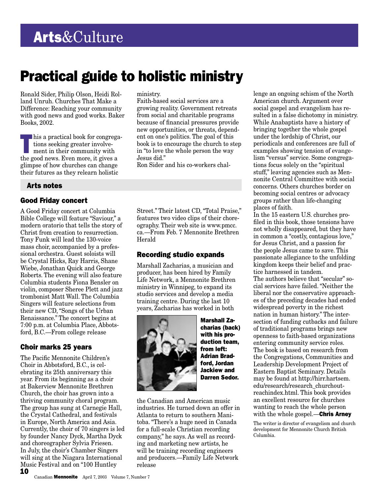## Practical guide to holistic ministry

Ronald Sider, Philip Olson, Heidi Rolland Unruh. Churches That Make a Difference: Reaching your community with good news and good works. Baker Books, 2002.

his a practical book for congrega-<br>tions seeking greater involve-<br>ment in their community with tions seeking greater involvement in their community with the good news. Even more, it gives a glimpse of how churches can change their futures as they relearn holistic

#### Arts notes

#### Good Friday concert

A Good Friday concert at Columbia Bible College will feature "Saviour," a modern oratorio that tells the story of Christ from creation to resurrection. Tony Funk will lead the 130-voice mass choir, accompanied by a professional orchestra. Guest soloists will be Crystal Hicks, Ray Harris, Shane Wiebe, Jonathan Quick and George Roberts. The evening will also feature Columbia students Fiona Bensler on violin, composer Sheree Plett and jazz trombonist Matt Wall. The Columbia Singers will feature selections from their new CD, "Songs of the Urban Renaissance." The concert begins at 7:00 p.m. at Columbia Place, Abbotsford, B.C.—From college release

#### Choir marks 25 years

10 The Pacific Mennonite Children's Choir in Abbotsford, B.C., is celebrating its 25th anniversary this year. From its beginning as a choir at Bakerview Mennonite Brethren Church, the choir has grown into a thriving community choral program. The group has sung at Carnegie Hall, the Crystal Cathedral, and festivals in Europe, North America and Asia. Currently, the choir of 70 singers is led by founder Nancy Dyck, Martha Dyck and choreographer Sylvia Friesen. In July, the choir's Chamber Singers will sing at the Niagara International Music Festival and on "100 Huntley

#### ministry.

Faith-based social services are a growing reality. Government retreats from social and charitable programs because of financial pressures provide new opportunities, or threats, dependent on one's politics. The goal of this book is to encourage the church to step in "to love the whole person the way Jesus did."

Ron Sider and his co-workers chal-

Street." Their latest CD, "Total Praise," features two video clips of their choreography. Their web site is www.pmcc. ca.—From Feb. 7 Mennonite Brethren Herald

#### Recording studio expands

Marshall Zacharias, a musician and producer, has been hired by Family Life Network, a Mennonite Brethren ministry in Winnipeg, to expand its studio services and develop a media training centre. During the last 10 years, Zacharias has worked in both



Marshall Zacharias (back) with his production team, from left: Adrian Bradford, Jordan Jackiew and Darren Sedor.

the Canadian and American music industries. He turned down an offer in Atlanta to return to southern Manitoba. "There's a huge need in Canada for a full-scale Christian recording company," he says. As well as recording and marketing new artists, he will be training recording engineers and producers.—Family Life Network release

lenge an ongoing schism of the North American church. Argument over social gospel and evangelism has resulted in a false dichotomy in ministry. While Anabaptists have a history of bringing together the whole gospel under the lordship of Christ, our periodicals and conferences are full of examples showing tension of evangelism "versus" service. Some congregations focus solely on the "spiritual stuff," leaving agencies such as Mennonite Central Committee with social concerns. Others churches border on becoming social centres or advocacy groups rather than life-changing places of faith.

In the 15 eastern U.S. churches profiled in this book, those tensions have not wholly disappeared, but they have in common a "costly, contagious love," for Jesus Christ, and a passion for the people Jesus came to save. This passionate allegiance to the unfolding kingdom keeps their belief and practice harnessed in tandem. The authors believe that "secular" social services have failed. "Neither the liberal nor the conservative approaches of the preceding decades had ended widespread poverty in the richest nation in human history." The intersection of funding cutbacks and failure of traditional programs brings new openness to faith-based organizations entering community service roles. The book is based on research from the Congregations, Communities and Leadership Development Project of Eastern Baptist Seminary. Details may be found at http://hirr.hartsem. edu/research/research\_churchoutreachindex.html. This book provides an excellent resource for churches wanting to reach the whole person with the whole gospel.**—Chris Arney** 

The writer is director of evangelism and church development for Mennonite Church British Columbia.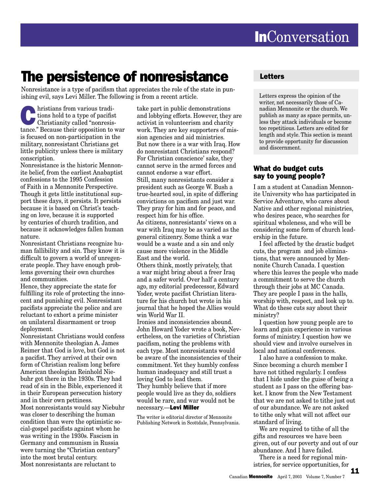## The persistence of nonresistance

Nonresistance is a type of pacifism that appreciates the role of the state in punishing evil, says Levi Miller. The following is from a recent article.

**Christians from various tradi-**<br>
tions hold to a type of pacifist<br>
Christianity called "nonresis-<br>
tange" Because their appealing to the tions hold to a type of pacifist tance." Because their opposition to war is focused on non-participation in the military, nonresistant Christians get little publicity unless there is military conscription.

Nonresistance is the historic Mennonite belief, from the earliest Anabaptist confessions to the 1995 Confession of Faith in a Mennonite Perspective. Though it gets little institutional support these days, it persists. It persists because it is based on Christ's teaching on love, because it is supported by centuries of church tradition, and because it acknowledges fallen human nature.

Nonresistant Christians recognize human fallibility and sin. They know it is difficult to govern a world of unregenerate people. They have enough problems governing their own churches and communities.

Hence, they appreciate the state for fulfilling its role of protecting the innocent and punishing evil. Nonresistant pacifists appreciate the police and are reluctant to exhort a prime minister on unilateral disarmament or troop deployment.

Nonresistant Christians would confess with Mennonite theologian A. James Reimer that God is love, but God is not a pacifist. They arrived at their own form of Christian realism long before American theologian Reinhold Niebuhr got there in the 1930s. They had read of sin in the Bible, experienced it in their European persecution history and in their own pettiness. Most nonresistants would say Niebuhr was closer to describing the human condition than were the optimistic social-gospel pacifists against whom he was writing in the 1930s. Fascism in Germany and communism in Russia were turning the "Christian century" into the most brutal century. Most nonresistants are reluctant to

take part in public demonstrations and lobbying efforts. However, they are activist in volunteerism and charity work. They are key supporters of mission agencies and aid ministries. But now there is a war with Iraq. How do nonresistant Christians respond? For Christian conscience' sake, they cannot serve in the armed forces and cannot endorse a war effort. Still, many nonresistants consider a president such as George W. Bush a true-hearted soul, in spite of differing convictions on pacifism and just war. They pray for him and for peace, and respect him for his office. As citizens, nonresistants' views on a war with Iraq may be as varied as the general citizenry. Some think a war would be a waste and a sin and only cause more violence in the Middle East and the world. Others think, mostly privately, that

a war might bring about a freer Iraq and a safer world. Over half a century ago, my editorial predecessor, Edward Yoder, wrote pacifist Christian literature for his church but wrote in his journal that he hoped the Allies would win World War II.

Ironies and inconsistencies abound. John Howard Yoder wrote a book, Nevertheless, on the varieties of Christian pacifism, noting the problems with each type. Most nonresistants would be aware of the inconsistencies of their commitment. Yet they humbly confess human inadequacy and still trust a loving God to lead them. They humbly believe that if more people would live as they do, soldiers would be rare, and war would not be necessary.—Levi Miller

The writer is editorial director of Mennonite Publishing Network in Scottdale, Pennsylvania.

### Letters

Letters express the opinion of the writer, not necessarily those of Canadian Mennonite or the church. We publish as many as space permits, unless they attack individuals or become too repetitious. Letters are edited for length and style. This section is meant to provide opportunity for discussion and discernment.

#### What do budget cuts say to young people?

I am a student at Canadian Mennonite University who has participated in Service Adventure, who cares about Native and other regional ministries, who desires peace, who searches for spiritual wholeness, and who will be considering some form of church leadership in the future.

I feel affected by the drastic budget cuts, the program and job eliminations, that were announced by Mennonite Church Canada. I question where this leaves the people who made a commitment to serve the church through their jobs at MC Canada. They are people I pass in the halls, worship with, respect, and look up to. What do these cuts say about their ministry?

I question how young people are to learn and gain experience in various forms of ministry. I question how we should view and involve ourselves in local and national conferences.

I also have a confession to make. Since becoming a church member I have not tithed regularly. I confess that I hide under the guise of being a student as I pass on the offering basket. I know from the New Testament that we are not asked to tithe just out of our abundance. We are not asked to tithe only what will not affect our standard of living.

We are required to tithe of all the gifts and resources we have been given, out of our poverty and out of our abundance. And I have failed.

There is a need for regional ministries, for service opportunities, for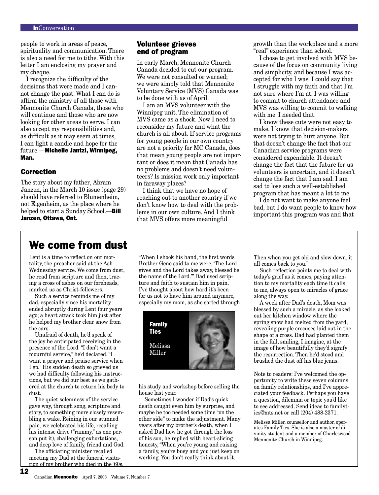people to work in areas of peace, spirituality and communication. There is also a need for me to tithe. With this letter I am enclosing my prayer and my cheque.

I recognize the difficulty of the decisions that were made and I cannot change the past. What I can do is affirm the ministry of all those with Mennonite Church Canada, those who will continue and those who are now looking for other areas to serve. I can also accept my responsibilities and, as difficult as it may seem at times, I can light a candle and hope for the future.—Michelle Jantzi, Winnipeg, Man.

#### Correction

The story about my father, Abram Janzen, in the March 10 issue (page 29) should have referred to Blumenheim, not Eigenheim, as the place where he helped to start a Sunday School.—**Bill** Janzen, Ottawa, Ont.

#### Volunteer grieves end of program

In early March, Mennonite Church Canada decided to cut our program. We were not consulted or warned; we were simply told that Mennonite Voluntary Service (MVS) Canada was to be done with as of April.

I am an MVS volunteer with the Winnipeg unit. The elimination of MVS came as a shock. Now I need to reconsider my future and what the church is all about. If service programs for young people in our own country are not a priority for MC Canada, does that mean young people are not important or does it mean that Canada has no problems and doesn't need volunteers? Is mission work only important in faraway places?

I think that we have no hope of reaching out to another country if we don't know how to deal with the problems in our own culture. And I think that MVS offers more meaningful

growth than the workplace and a more "real" experience than school.

I chose to get involved with MVS because of the focus on community living and simplicity, and because I was accepted for who I was. I could say that I struggle with my faith and that I'm not sure where I'm at. I was willing to commit to church attendance and MVS was willing to commit to walking with me. I needed that.

I know these cuts were not easy to make. I know that decision-makers were not trying to hurt anyone. But that doesn't change the fact that our Canadian service programs were considered expendable. It doesn't change the fact that the future for us volunteers is uncertain, and it doesn't change the fact that I am sad. I am sad to lose such a well-established program that has meant a lot to me.

I do not want to make anyone feel bad, but I do want people to know how important this program was and that

### We come from dust

Lent is a time to reflect on our mortality, the preacher said at the Ash Wednesday service. We come from dust, he read from scripture and then, tracing a cross of ashes on our foreheads, marked us as Christ-followers.

Such a service reminds me of my dad, especially since his mortality ended abruptly during Lent four years ago; a heart attack took him just after he helped my brother clear snow from the cars.

Unafraid of death, he'd speak of the joy he anticipated receiving in the presence of the Lord. "I don't want a mournful service," he'd declared. "I want a prayer and praise service when I go." His sudden death so grieved us we had difficulty following his instructions, but we did our best as we gathered at the church to return his body to dust.

The quiet solemness of the service gave way, through song, scripture and story, to something more closely resembling a wake. Reining in our stunned pain, we celebrated his life, recalling his intense drive ("rammy," as one person put it), challenging exhortations, and deep love of family, friend and God.

The officiating minister recalled meeting my Dad at the funeral visitation of my brother who died in the '60s.

"When I shook his hand, the first words Brother Gene said to me were, 'The Lord gives and the Lord takes away, blessed be the name of the Lord.'" Dad used scripture and faith to sustain him in pain. I've thought about how hard it's been for us not to have him around anymore, especially my mom, as she sorted through



his study and workshop before selling the house last year.

Sometimes I wonder if Dad's quick death caught even him by surprise, and maybe he too needed some time "on the other side" to make the adjustment. Many years after my brother's death, when I asked Dad how he got through the loss of his son, he replied with heart-slicing honesty, "When you're young and raising a family, you're busy and you just keep on working. You don't really think about it.

Then when you get old and slow down, it all comes back to you."

Such reflection points me to deal with today's grief as it comes, paying attention to my mortality each time it calls to me, always open to miracles of grace along the way.

A week after Dad's death, Mom was blessed by such a miracle, as she looked out her kitchen window where the spring snow had melted from the yard, revealing purple crocuses laid out in the shape of a cross. Dad had planted them in the fall, smiling, I imagine, at the image of how beautifully they'd signify the resurrection. Then he'd stood and brushed the dust off his blue jeans.

Note to readers: I've welcomed the opportunity to write these seven columns on family relationships, and I've appreciated your feedback. Perhaps you have a question, dilemma or topic you'd like to see addressed. Send ideas to familyties@mts.net or call (204) 488-2371.

Melissa Miller, counsellor and author, operates Family Ties. She is also a master of divinity student and a member of Charleswood Mennonite Church in Winnipeg.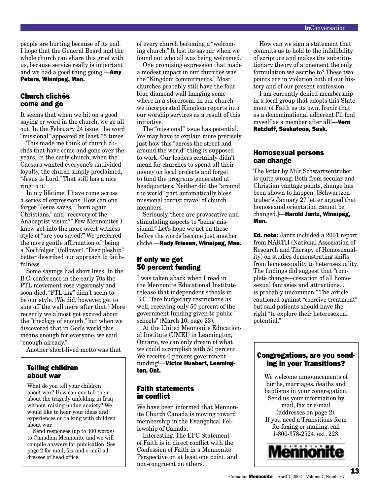people are hurting because of its end. I hope that the General Board and the whole church can share this grief with us, because service really is important and we had a good thing going.—**Amy** Peters, Winnipeg, Man.

#### Church clichés come and go

It seems that when we hit on a good saying or word in the church, we go all out. In the February 24 issue, the word "missional" appeared at least 65 times.

This made me think of church clichés that have come and gone over the years. In the early church, when the Caesars wanted everyone's undivided loyalty, the church simply proclaimed, "Jesus is Lord." That still has a nice ring to it.

In my lifetime, I have come across a series of expressions. How can one forget "Jesus saves," "born again Christians," and "recovery of the Anabaptist vision?" Few Mennonites I knew got into the more overt witness style of "are you saved?" We preferred the more gentle affirmation of "being a Nochfolger" (follower). "Discipleship" better described our approach to faithfulness.

Some sayings had short lives. In the B.C. conference in the early 70s the PTL movement rose vigorously and soon died. "PTL-ing" didn't seem to be our style. (We did, however, get to sing off the wall more after that.) More recently we almost got excited about the "theology of enough," but when we discovered that in God's world this means enough for everyone, we said, "enough already."

Another short-lived motto was that

#### Telling children about war

What do you tell your children about war? How can one tell them about the tragedy unfolding in Iraq without raising undue anxiety? We would like to hear your ideas and experiences on talking with children about war.

Send responses (up to 300 words) to Canadian Mennonite and we will compile answers for publication. See page 2 for mail, fax and e-mail addresses of head office.

of every church becoming a "welcoming church." It lost its savour when we found out who all was being welcomed.

One promising expression that made a modest impact in our churches was the "Kingdom commitments." Most churches probably still have the four blue diamond wall-hanging somewhere in a storeroom. In our church we incorporated Kingdom reports into our worship services as a result of this initiative.

The "missional" issue has potential. We may have to explain more precisely just how this "across the street and around the world" thing is supposed to work. Our leaders certainly didn't mean for churches to spend all their money on local projects and forget to fund the programs generated at headquarters. Neither did the "around the world" part automatically bless missional tourist travel of church members.

Seriously, there are provocative and stimulating aspects to "being missional." Let's hope we act on these before the words become just another cliché.—Rudy Friesen, Winnipeg, Man.

#### If only we got 50 percent funding

I was taken aback when I read in the Mennonite Educational Institute release that independent schools in B.C. "face budgetary restrictions as well, receiving only 50 percent of the government funding given to public schools" (March 10, page 23).

At the United Mennonite Educational Institute (UMEI) in Leamington, Ontario, we can only dream of what we could accomplish with 50 percent. We receive 0 percent government funding!—Victor Huebert, Leamington, Ont.

#### Faith statements in conflict

We have been informed that Mennonite Church Canada is moving toward membership in the Evangelical Fellowship of Canada.

Interesting. The EFC Statement of Faith is in direct conflict with the Confession of Faith in a Mennonite Perspective on at least one point, and non-congruent on others.

How can we sign a statement that commits us to hold to the infallibility of scripture and makes the substitutionary theory of atonement the only formulation we ascribe to? These two points are in violation both of our history and of our present confession.

I am currently denied membership in a local group that adopts this Statement of Faith as its own. Ironic that as a denominational adherent I'll find myself as a member after all!—**Vern** Ratzlaff, Saskatoon, Sask.

#### Homosexual persons can change

The letter by Milt Schwartzentruber is quite wrong. Both from secular and Christian vantage points, change has been shown to happen. [Schwartzentruber's January 27 letter argued that homosexual orientation cannot be changed.]—Harold Jantz, Winnipeg, Man.

Ed. note: Jantz included a 2001 report from NARTH (National Association of Research and Therapy of Homosexuality) on studies demonstrating shifts from homosexuality to heterosexuality. The findings did suggest that "complete change—cessation of all homosexual fantasies and attractions... is probably uncommon." The article cautioned against "coercive treatment" but said patients should have the right "to explore their heterosexual potential."

#### Congregations, are you sending in your Transitions?

We welcome announcements of births, marriages, deaths and baptisms in your congregation. Send us your information by mail, fax or e-mail (addresses on page 2). If you need a Transitions form for faxing or mailing, call 1-800-378-2524, ext. 223.

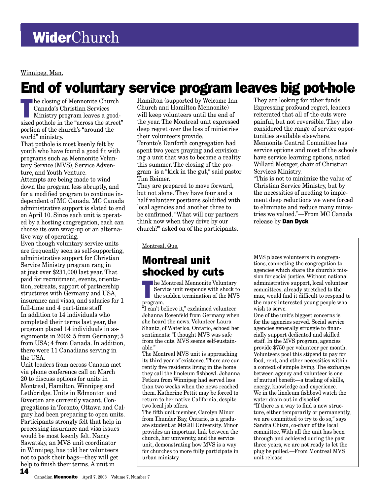Winnipeg, Man.

## End of voluntary service program leaves big pot-hole

The closing of Mennonite Church<br>
Canada's Christian Services<br>
Ministry program leaves a good-<br>
sized pathols in the "eggency the street Canada's Christian Services sized pothole in the "across the street" portion of the church's "around the world" ministry.

That pothole is most keenly felt by youth who have found a good fit with programs such as Mennonite Voluntary Service (MVS), Service Adventure, and Youth Venture.

Attempts are being made to wind down the program less abruptly, and for a modified program to continue independent of MC Canada. MC Canada administrative support is slated to end on April 10. Since each unit is operated by a hosting congregation, each can choose its own wrap-up or an alternative way of operating.

Even though voluntary service units are frequently seen as self-supporting, administrative support for Christian Service Ministry program rang in at just over \$231,000 last year. That paid for recruitment, events, orientation, retreats, support of partnership structures with Germany and USA, insurance and visas, and salaries for 1 full-time and 4 part-time staff. In addition to 14 individuals who completed their terms last year, the program placed 14 individuals in assignments in 2002: 5 from Germany; 5 from USA; 4 from Canada. In addition, there were 11 Canadians serving in the USA.

14 Unit leaders from across Canada met via phone conference call on March 20 to discuss options for units in Montreal, Hamilton, Winnipeg and Lethbridge. Units in Edmonton and Riverton are currently vacant. Congregations in Toronto, Ottawa and Calgary had been preparing to open units. Participants strongly felt that help in processing insurance and visa issues would be most keenly felt. Nancy Sawatsky, an MVS unit coordinator in Winnipeg, has told her volunteers not to pack their bags—they will get help to finish their terms. A unit in

Hamilton (supported by Welcome Inn Church and Hamilton Mennonite) will keep volunteers until the end of the year. The Montreal unit expressed deep regret over the loss of ministries their volunteers provide.

Toronto's Danforth congregation had spent two years praying and envisioning a unit that was to become a reality this summer. The closing of the program is a "kick in the gut," said pastor Tim Reimer.

They are prepared to move forward, but not alone. They have four and a half volunteer positions solidified with local agencies and another three to be confirmed. "What will our partners think now when they drive by our church?" asked on of the participants.

They are looking for other funds. Expressing profound regret, leaders reiterated that all of the cuts were painful, but not reversible. They also considered the range of service opportunities available elsewhere. Mennonite Central Committee has service options and most of the schools have service learning options, noted Willard Metzger, chair of Christian Services Ministry.

"This is not to minimize the value of Christian Service Ministry, but by the necessities of needing to implement deep reductions we were forced to eliminate and reduce many ministries we valued."—From MC Canada release by Dan Dyck

Montreal, Que.

### Montreal unit shocked by cuts

The Montreal Mennonite Voluntary<br>
Service unit responds with shock to<br>
the sudden termination of the MVS Service unit responds with shock to the sudden termination of the MVS program.

"I can't believe it," exclaimed volunteer Johanna Rosenfeld from Germany when she heard the news. Volunteer Laura Shantz, of Waterloo, Ontario, echoed her sentiments: "I thought MVS was safe from the cuts. MVS seems self-sustainable."

The Montreal MVS unit is approaching its third year of existence. There are currently five residents living in the home they call the linoleum fishbowl. Johanna Petkau from Winnipeg had served less than two weeks when the news reached them. Katherine Pettit may be forced to return to her native California, despite two local job offers.

The fifth unit member, Carolyn Minor from Thunder Bay, Ontario, is a graduate student at McGill University. Minor provides an important link between the church, her university, and the service unit, demonstrating how MVS is a way for churches to more fully participate in urban ministry.

MVS places volunteers in congregations, connecting the congregation to agencies which share the church's mission for social justice. Without national administrative support, local volunteer committees, already stretched to the max, would find it difficult to respond to the many interested young people who wish to serve.

One of the unit's biggest concerns is for the agencies served. Social service agencies generally struggle to financially support dedicated and skilled staff. In the MVS program, agencies provide \$750 per volunteer per month. Volunteers pool this stipend to pay for food, rent, and other necessities within a context of simple living. The exchange between agency and volunteer is one of mutual benefit—a trading of skills, energy, knowledge and experience. We in the linoleum fishbowl watch the water drain out in disbelief. "If there is a way to find a new structure, either temporarily or permanently, we are committed to try to do so," says Sandra Chism, co-chair of the local committee. With all the unit has been through and achieved during the past three years, we are not ready to let the plug be pulled.—From Montreal MVS unit release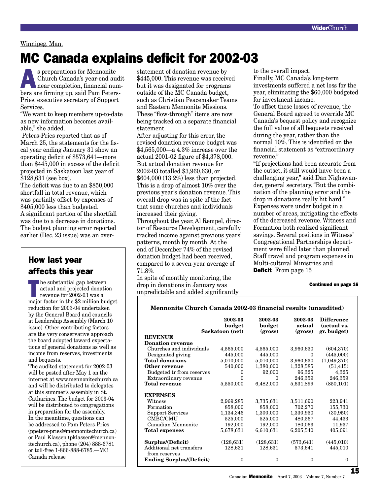#### Winnipeg, Man.

## MC Canada explains deficit for 2002-03

s preparations for Mennonite Church Canada's year-end audit near completion, financial numbers are firming up, said Pam Peters-Pries, executive secretary of Support Services.

"We want to keep members up-to-date as new information becomes available," she added.

 Peters-Pries reported that as of March 25, the statements for the fiscal year ending January 31 show an operating deficit of \$573,641—more than \$445,000 in excess of the deficit projected in Saskatoon last year of \$128,631 (see box).

The deficit was due to an \$850,000 shortfall in total revenue, which was partially offset by expenses of \$405,000 less than budgeted. A significant portion of the shortfall was due to a decrease in donations. The budget planning error reported earlier (Dec. 23 issue) was an over-

### How last year affects this year

The substantial gap between actual and projected donation revenue for 2002-03 was a major factor in the \$2 million budget reduction for 2003-04 undertaken by the General Board and councils at Leadership Assembly (March 10 issue). Other contributing factors are the very conservative approach the board adopted toward expectations of general donations as well as income from reserves, investments and bequests.

The audited statement for 2002-03 will be posted after May 1 on the internet at www.mennonitechurch.ca and will be distributed to delegates at this summer's assembly in St. Catharines. The budget for 2003-04 will be distributed to congregations in preparation for the assembly. In the meantime, questions can be addressed to Pam Peters-Pries (ppeters-pries@mennonitechurch.ca) or Paul Klassen (pklassen@mennonitechurch.ca), phone (204) 888-6781 or toll-free 1-866-888-6785.—MC Canada release

statement of donation revenue by \$445,000. This revenue was received but it was designated for programs outside of the MC Canada budget, such as Christian Peacemaker Teams and Eastern Mennonite Missions. These "flow-through" items are now being tracked on a separate financial statement.

After adjusting for this error, the revised donation revenue budget was \$4,565,000—a 4.3% increase over the actual 2001-02 figure of \$4,378,000. But actual donation revenue for 2002-03 totalled \$3,960,630, or \$604,000 (13.2%) less than projected. This is a drop of almost 10% over the previous year's donation revenue. This overall drop was in spite of the fact that some churches and individuals increased their giving.

Throughout the year, Al Rempel, director of Resource Development, carefully tracked income against previous years' patterns, month by month. At the end of December 74% of the revised donation budget had been received, compared to a seven-year average of 71.8%.

In spite of monthly monitoring, the drop in donations in January was unpredictable and added significantly to the overall impact.

Finally, MC Canada's long-term investments suffered a net loss for the year, eliminating the \$60,000 budgeted for investment income.

To offset these losses of revenue, the General Board agreed to override MC Canada's bequest policy and recognize the full value of all bequests received during the year, rather than the normal 10%. This is identified on the financial statement as "extraordinary revenue."

"If projections had been accurate from the outset, it still would have been a challenging year," said Dan Nighswander, general secretary. "But the combination of the planning error and the drop in donations really hit hard." Expenses were under budget in a number of areas, mitigating the effects of the decreased revenue. Witness and Formation both realized significant savings. Several positions in Witness' Congregational Partnerships department were filled later than planned. Staff travel and program expenses in Multi-cultural Ministries and **Deficit** From page 15

#### Continued on page 16

#### **Mennonite Church Canada 2002-03 financial results (unaudited)**

|                                   | 2002-03<br>budget | 2002-03<br>budget<br>(gross) | 2002-03<br>actual | <b>Difference</b><br>(actual vs.<br>gr. budget) |
|-----------------------------------|-------------------|------------------------------|-------------------|-------------------------------------------------|
| Saskatoon (net)<br><b>REVENUE</b> |                   |                              | (gross)           |                                                 |
| <b>Donation revenue</b>           |                   |                              |                   |                                                 |
| Churches and individuals          | 4,565,000         | 4,565,000                    | 3,960,630         | (604, 370)                                      |
| Designated giving                 | 445,000           | 445,000                      | $\Omega$          | (445,000)                                       |
| <b>Total donations</b>            | 5,010,000         | 5,010,000                    | 3,960,630         | (1,049,370)                                     |
| Other revenue                     | 540,000           | 1,380,000                    | 1,328,585         | (51, 415)                                       |
| Budgeted tr from reserves         | 0                 | 92,000                       | 96,325            | 4,325                                           |
| Extraordinary revenue             | $\Omega$          | $\boldsymbol{0}$             | 246,359           | 246,359                                         |
| <b>Total revenue</b>              | 5,550,000         | 6,482,000                    | 5,631,899         | (850, 101)                                      |
| <b>EXPENSES</b>                   |                   |                              |                   |                                                 |
| Witness                           | 2,969,285         | 3,735,631                    | 3,511,690         | 223,941                                         |
| Formation                         | 858,000           | 858,000                      | 702,270           | 155,730                                         |
| <b>Support Services</b>           | 1,134,346         | 1,300,000                    | 1,330,950         | (30,950)                                        |
| CMBC/CMU                          | 525,000           | 525,000                      | 480,567           | 44,433                                          |
| Canadian Mennonite                | 192,000           | 192,000                      | 180,063           | 11,937                                          |
| <b>Total expenses</b>             | 5,678,631         | 6,610,631                    | 6,205,540         | 405,091                                         |
| Surplus/(Deficit)                 | (128, 631)        | (128, 631)                   | (573, 641)        | (445, 010)                                      |
| Additional net transfers          | 128,631           | 128,631                      | 573,641           | 445,010                                         |
| from reserves                     |                   |                              |                   |                                                 |
| <b>Ending Surplus/(Deficit)</b>   | 0                 | $\boldsymbol{0}$             | $\theta$          | 0                                               |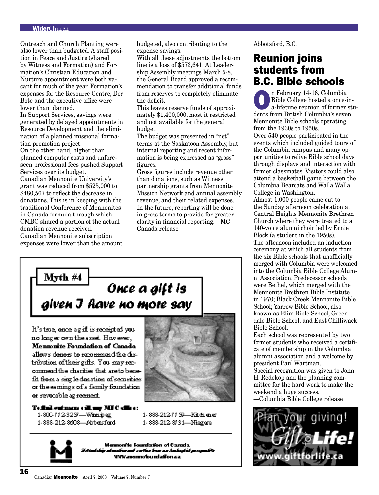#### WiderChurch

Outreach and Church Planting were also lower than budgeted. A staff position in Peace and Justice (shared by Witness and Formation) and Formation's Christian Education and Nurture appointment were both vacant for much of the year. Formation's expenses for the Resource Centre, Der Bote and the executive office were lower than planned.

In Support Services, savings were generated by delayed appointments in Resource Development and the elimination of a planned missional formation promotion project.

On the other hand, higher than planned computer costs and unforeseen professional fees pushed Support Services over its budget.

Canadian Mennonite University's grant was reduced from \$525,000 to \$480,567 to reflect the decrease in donations. This is in keeping with the traditional Conference of Mennonites in Canada formula through which CMBC shared a portion of the actual donation revenue received. Canadian Mennonite subscription expenses were lower than the amount budgeted, also contributing to the expense savings.

With all these adjustments the bottom line is a loss of \$573,641. At Leadership Assembly meetings March 5-8, the General Board approved a recommendation to transfer additional funds from reserves to completely eliminate the deficit.

This leaves reserve funds of approximately \$1,400,000, most it restricted and not available for the general budget.

The budget was presented in "net" terms at the Saskatoon Assembly, but internal reporting and recent information is being expressed as "gross" figures.

Gross figures include revenue other than donations, such as Witness partnership grants from Mennonite Mission Network and annual assembly revenue, and their related expenses. In the future, reporting will be done in gross terms to provide for greater clarity in financial reporting.—MC Canada release



**Mennonite Foundation of Canada** allows donors to recommend the distribution of their gifts. You may recommend the charities that are to benefit from a sing le donation of securities or the earnings of a family foundation or revocable agreement.



To find out more call any MFC office: 1-800-772-3257-Winnipeg 1-888-212-8608-Abbatsfard

1-888-212-7759-Kitchener 1-888-212-8/31-Niagara



Memonite Foundation of Canada ودسر كفافهمكسة. منذ صحك مشاهده استدعته www.mennotoundation.ca

#### Abbotsford, B.C.

### Reunion joins students from B.C. Bible schools

n February 14-16, Columbia<br>Bible College hosted a once-i<br>a-lifetime reunion of former and<br>donta from Pritich Columbia's source Bible College hosted a once-ina-lifetime reunion of former students from British Columbia's seven Mennonite Bible schools operating from the 1930s to 1950s. Over 540 people participated in the events which included guided tours of the Columbia campus and many opportunities to relive Bible school days through displays and interaction with former classmates. Visitors could also attend a basketball game between the Columbia Bearcats and Walla Walla College in Washington.

Almost 1,000 people came out to the Sunday afternoon celebration at Central Heights Mennonite Brethren Church where they were treated to a 140-voice alumni choir led by Ernie Block (a student in the 1950s). The afternoon included an induction ceremony at which all students from the six Bible schools that unofficially merged with Columbia were welcomed into the Columbia Bible College Alumni Association. Predecessor schools were Bethel, which merged with the Mennonite Brethren Bible Institute in 1970; Black Creek Mennonite Bible School; Yarrow Bible School, also known as Elim Bible School; Greendale Bible School; and East Chilliwack Bible School.

Each school was represented by two former students who received a certificate of membership in the Columbia alumni association and a welcome by president Paul Wartman.

Special recognition was given to John H. Redekop and the planning committee for the hard work to make the weekend a huge success.

—Columbia Bible College release

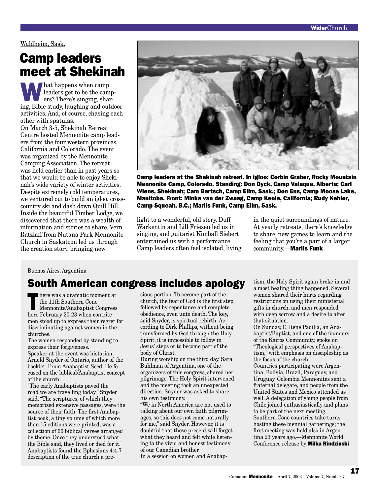Waldheim, Sask.

## Camp leaders meet at Shekinah

What happens when camp leaders get to be the campers? There's singing, sharing, Bible study, laughing and outdoor activities. And, of course, chasing each other with spatulas.

On March 3-5, Shekinah Retreat Centre hosted Mennonite camp leaders from the four western provinces, California and Colorado. The event was organized by the Mennonite Camping Association. The retreat was held earlier than in past years so that we would be able to enjoy Shekinah's wide variety of winter activities. Despite extremely cold temperatures, we ventured out to build an igloo, crosscountry ski and dash down Quill Hill. Inside the beautiful Timber Lodge, we discovered that there was a wealth of information and stories to share. Vern Ratzlaff from Nutana Park Mennonite Church in Saskatoon led us through the creation story, bringing new



Camp leaders at the Shekinah retreat. In igloo: Corbin Graber, Rocky Mountain Mennonite Camp, Colorado. Standing: Don Dyck, Camp Valaqua, Alberta; Carl Wiens, Shekinah; Cam Bartsch, Camp Elim, Sask.; Don Ens, Camp Moose Lake, Manitoba. Front: Minka van der Zwaag, Camp Keola, California; Rudy Kehler, Camp Squeah, B.C.; Marlis Funk, Camp Elim, Sask.

light to a wonderful, old story. Duff Warkentin and Lill Friesen led us in singing, and guitarist Kimball Siebert entertained us with a performance. Camp leaders often feel isolated, living in the quiet surroundings of nature. At yearly retreats, there's knowledge to share, new games to learn and the feeling that you're a part of a larger community.—Marlis Funk

#### Buenos Aires, Argentina

### South American congress includes apology

here was a dramatic moment at<br>the 11th Southern Cone<br>Mennonite/Anabaptist Congress<br>here February 20, 22 when contrite the 11th Southern Cone here February 20-23 when contrite men stood up to express their regret for discriminating against women in the churches.

The women responded by standing to express their forgiveness. Speaker at the event was historian Arnold Snyder of Ontario, author of the booklet, From Anabaptist Seed. He focused on the biblical/Anabaptist concept of the church.

"The early Anabaptists paved the road we are travelling today," Snyder said. "The scriptures, of which they memorized extensive passages, were the source of their faith. The first Anabaptist book, a tiny volume of which more than 15 editions were printed, was a collection of 66 biblical verses arranged by theme. Once they understood what the Bible said, they lived or died for it." Anabaptists found the Ephesians 4:4-7 description of the true church a precious portion. To become part of the church, the fear of God is the first step, followed by repentance and complete obedience, even unto death. The key, said Snyder, is spiritual rebirth. According to Dirk Phillips, without being transformed by God through the Holy Spirit, it is impossible to follow in Jesus' steps or to become part of the body of Christ.

During worship on the third day, Sara Buhlman of Argentina, one of the organizers of this congress, shared her pilgrimage. The Holy Spirit intervened and the meeting took an unexpected direction. Snyder was asked to share his own testimony.

"We in North America are not used to talking about our own faith pilgrimages, so this does not come naturally for me," said Snyder. However, it is doubtful that those present will forget what they heard and felt while listening to the vivid and honest testimony of our Canadian brother.

In a session on women and Anabap-

tism, the Holy Spirit again broke in and a most healing thing happened. Several women shared their hurts regarding restrictions on using their ministerial gifts in church, and men responded with deep sorrow and a desire to alter that situation.

On Sunday, C. René Padilla, an Anabaptist/Baptist, and one of the founders of the Kairós Community, spoke on "Theological perspectives of Anabaptism," with emphasis on discipleship as the focus of the church. Countries participating were Argentina, Bolivia, Brazil, Paraguay, and Uruguay. Colombia Mennonites sent a fraternal delegate, and people from the United States and Mexico attended as well. A delegation of young people from

Chile joined enthusiastically and plans to be part of the next meeting. Southern Cone countries take turns hosting these biennial gatherings; the first meeting was held also in Argentina 23 years ago.—Mennonite World Conference release by Milka Rindzinski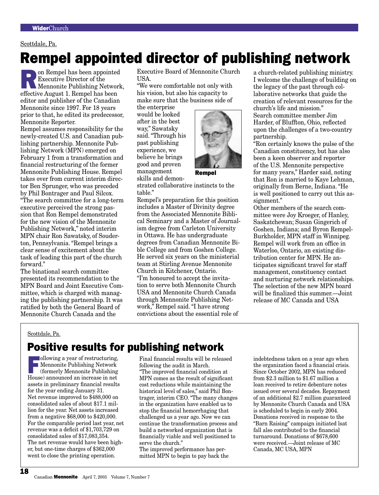#### Scottdale, Pa.

## Rempel appointed director of publishing network

**Parade in Security Branch Publishing Network,**<br> **References** Mennonite Publishing Network,<br> **Reference** Avenuet 1 Bernard bee been Executive Director of the effective August 1. Rempel has been editor and publisher of the Canadian Mennonite since 1997. For 18 years prior to that, he edited its predecessor, Mennonite Reporter.

Rempel assumes responsibility for the newly-created U.S. and Canadian publishing partnership. Mennonite Publishing Network (MPN) emerged on February 1 from a transformation and financial restructuring of the former Mennonite Publishing House. Rempel takes over from current interim director Ben Sprunger, who was preceded by Phil Bontrager and Paul Silcox.

"The search committee for a long-term executive perceived the strong passion that Ron Rempel demonstrated for the new vision of the Mennonite Publishing Network," noted interim MPN chair Ron Sawatsky, of Souderton, Pennsylvania. "Rempel brings a clear sense of excitement about the task of leading this part of the church forward."

The binational search committee presented its recommendation to the MPN Board and Joint Executive Committee, which is charged with managing the publishing partnership. It was ratified by both the General Board of Mennonite Church Canada and the

Executive Board of Mennonite Church USA.

"We were comfortable not only with his vision, but also his capacity to make sure that the business side of

the enterprise would be looked after in the best way," Sawatsky said. "Through his past publishing experience, we believe he brings good and proven management skills and demon-



Rempel

strated collaborative instincts to the table."

Rempel's preparation for this position includes a Master of Divinity degree from the Associated Mennonite Biblical Seminary and a Master of Journalism degree from Carleton University in Ottawa. He has undergraduate degrees from Canadian Mennonite Bible College and from Goshen College. He served six years on the ministerial team at Stirling Avenue Mennonite Church in Kitchener, Ontario. "I'm honoured to accept the invitation to serve both Mennonite Church USA and Mennonite Church Canada through Mennonite Publishing Network," Rempel said. "I have strong convictions about the essential role of

a church-related publishing ministry. I welcome the challenge of building on the legacy of the past through collaborative networks that guide the creation of relevant resources for the church's life and mission." Search committee member Jim Harder, of Bluffton, Ohio, reflected upon the challenges of a two-country partnership.

"Ron certainly knows the pulse of the Canadian constituency, but has also been a keen observer and reporter of the U.S. Mennonite perspective for many years," Harder said, noting that Ron is married to Kaye Lehman, originally from Berne, Indiana. "He is well positioned to carry out this assignment."

Other members of the search committee were Joy Kroeger, of Hanley, Saskatchewan; Susan Gingerich of Goshen, Indiana; and Byron Rempel-Burkholder, MPN staff in Winnipeg. Rempel will work from an office in Waterloo, Ontario, an existing distribution center for MPN. He anticipates significant travel for staff management, constituency contact and nurturing network relationships. The selection of the new MPN board will be finalized this summer.—Joint release of MC Canada and USA

#### Scottdale, Pa.

### Positive results for publishing network

**Following a year of restructuring,** Mennonite Publishing Network (formerly Mennonite Publishing House) announced an increase in net assets in preliminary financial results for the year ending January 31. Net revenue improved to \$488,000 on consolidated sales of about \$17.1 million for the year. Net assets increased from a negative \$68,000 to \$420,000. For the comparable period last year, net revenue was a deficit of \$1,703,729 on consolidated sales of \$17,083,354. The net revenue would have been higher, but one-time charges of \$362,000 went to close the printing operation.

Final financial results will be released following the audit in March. "The improved financial condition at MPN comes as the result of significant cost reductions while maintaining the historical level of sales," said Phil Bontrager, interim CEO. "The many changes in the organization have enabled us to stop the financial hemorrhaging that challenged us a year ago. Now we can continue the transformation process and build a networked organization that is financially viable and well positioned to serve the church."

The improved performance has permitted MPN to begin to pay back the indebtedness taken on a year ago when the organization faced a financial crisis. Since October 2002, MPN has reduced from \$2.3 million to \$1.67 million a loan received to retire debenture notes issued over several decades. Repayment of an additional \$2.7 million guaranteed by Mennonite Church Canada and USA is scheduled to begin in early 2004. Donations received in response to the "Barn Raising" campaign initiated lsat fall also contributed to the financial turnaround. Donations of \$678,600 were received.—Joint release of MC Canada, MC USA, MPN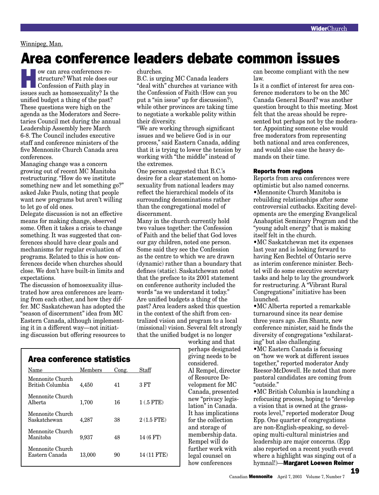#### Winnipeg, Man.

## Area conference leaders debate common issues

we can area conferences re-<br>structure? What role does o<br>Confession of Faith play in<br>issues and as homogenuality? Let structure? What role does our Confession of Faith play in issues such as homosexuality? Is the unified budget a thing of the past? These questions were high on the agenda as the Moderators and Secretaries Council met during the annual Leadership Assembly here March 6-8. The Council includes executive staff and conference ministers of the five Mennonite Church Canada area conferences.

Managing change was a concern growing out of recent MC Manitoba restructuring. "How do we institute something new and let something go?" asked Jake Pauls, noting that people want new programs but aren't willing to let go of old ones.

Delegate discussion is not an effective means for making change, observed some. Often it takes a crisis to change something. It was suggested that conferences should have clear goals and mechanisms for regular evaluation of programs. Related to this is how conferences decide when churches should close. We don't have built-in limits and expectations.

The discussion of homosexuality illustrated how area conferences are learning from each other, and how they differ. MC Saskatchewan has adopted the "season of discernment" idea from MC Eastern Canada, although implementing it in a different way—not initiating discussion but offering resources to churches.

B.C. is urging MC Canada leaders "deal with" churches at variance with the Confession of Faith (How can you put a "sin issue" up for discussion?), while other provinces are taking time to negotiate a workable polity within their diversity.

"We are working through significant issues and we believe God is in our process," said Eastern Canada, adding that it is trying to lower the tension by working with "the middle" instead of the extremes.

One person suggested that B.C.'s desire for a clear statement on homosexuality from national leaders may reflect the hierarchical models of its surrounding denominations rather than the congregational model of discernment.

Many in the church currently hold two values together: the Confession of Faith and the belief that God loves our gay children, noted one person. Some said they see the Confession as the centre to which we are drawn (dynamic) rather than a boundary that defines (static). Saskatchewan noted that the preface to its 2001 statement on conference authority included the words "as we understand it today." Are unified budgets a thing of the past? Area leaders asked this question in the context of the shift from centralized vision and program to a local (missional) vision. Several felt strongly that the unified budget is no longer

> working and that perhaps designated giving needs to be considered. Al Rempel, director of Resource Development for MC Canada, presented new "privacy legislation" in Canada. It has implications for the collection and storage of membership data. Rempel will do further work with legal counsel on how conferences

can become compliant with the new law.

Is it a conflict of interest for area conference moderators to be on the MC Canada General Board? was another question brought to this meeting. Most felt that the areas should be represented but perhaps not by the moderator. Appointing someone else would free moderators from representing both national and area conferences, and would also ease the heavy demands on their time.

#### Reports from regions

Reports from area conferences were optimistic but also named concerns. •Mennonite Church Manitoba is rebuilding relationships after some controversial cutbacks. Exciting developments are the emerging Evangelical Anabaptist Seminary Program and the "young adult energy" that is making itself felt in the church.

•MC Saskatchewan met its expenses last year and is looking forward to having Ken Bechtel of Ontario serve as interim conference minister. Bechtel will do some executive secretary tasks and help to lay the groundwork for restructuring. A "Vibrant Rural Congregations" initiative has been launched.

•MC Alberta reported a remarkable turnaround since its near demise three years ago. Jim Shantz, new conference minister, said he finds the diversity of congregations "exhilarating" but also challenging.

•MC Eastern Canada is focusing on "how we work at different issues together," reported moderator Andy Reesor-McDowell. He noted that more pastoral candidates are coming from "outside."

•MC British Columbia is launching a refocusing process, hoping to "develop a vision that is owned at the grassroots level," reported moderator Doug Epp. One quarter of congregations are non-English-speaking, so developing multi-cultural ministries and leadership are major concerns. (Epp also reported on a recent youth event where a highlight was singing out of a hymnal!)—Margaret Loewen Reimer

19

| area conference statistics           |         |       |              |
|--------------------------------------|---------|-------|--------------|
| Name                                 | Members | Cong. | Staff        |
| Mennonite Church<br>British Columbia | 4.450   | 41    | 3 FT         |
| Mennonite Church<br>Alberta          | 1,700   | 16    | $1(.5$ FTE)  |
| Mennonite Church<br>Saskatchewan     | 4.287   | 38    | $2(1.5$ FTE) |
|                                      |         |       |              |

Manitoba 9,937 48 14 (6 FT)

Eastern Canada 13,000 90 14 (11 FTE)

Mennonite Church

Mennonite Church

Area conference statistics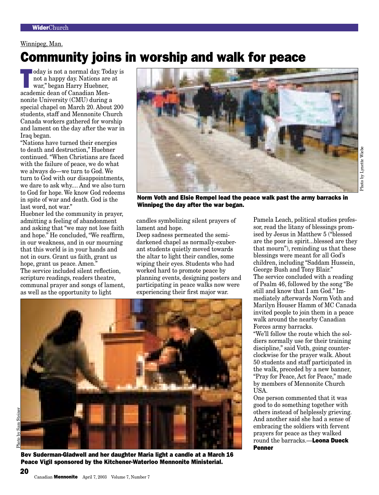#### Winnipeg, Man.

## Community joins in worship and walk for peace

oday is not a normal day. Today is<br>
not a happy day. Nations are at<br>
war," began Harry Huebner,<br>
seedomic deep of Canadian Map not a happy day. Nations are at war," began Harry Huebner, academic dean of Canadian Mennonite University (CMU) during a special chapel on March 20. About 200 students, staff and Mennonite Church Canada workers gathered for worship and lament on the day after the war in Iraq began.

"Nations have turned their energies to death and destruction," Huebner continued. "When Christians are faced with the failure of peace, we do what we always do—we turn to God. We turn to God with our disappointments, we dare to ask why.... And we also turn to God for hope. We know God redeems in spite of war and death. God is the last word, not war."

Huebner led the community in prayer, admitting a feeling of abandonment and asking that "we may not lose faith and hope." He concluded, "We reaffirm, in our weakness, and in our mourning that this world is in your hands and not in ours. Grant us faith, grant us hope, grant us peace. Amen." The service included silent reflection, scripture readings, readers theatre, communal prayer and songs of lament, as well as the opportunity to light



Norm Voth and Elsie Rempel lead the peace walk past the army barracks in Winnipeg the day after the war began.

candles symbolizing silent prayers of lament and hope.

Deep sadness permeated the semidarkened chapel as normally-exuberant students quietly moved towards the altar to light their candles, some wiping their eyes. Students who had worked hard to promote peace by planning events, designing posters and participating in peace walks now were experiencing their first major war.

Pamela Leach, political studies professor, read the litany of blessings promised by Jesus in Matthew 5 ("blessed are the poor in spirit...blessed are they that mourn"), reminding us that these blessings were meant for all God's children, including "Saddam Hussein, George Bush and Tony Blair." The service concluded with a reading of Psalm 46, followed by the song "Be still and know that I am God." Immediately afterwards Norm Voth and Marilyn Houser Hamm of MC Canada invited people to join them in a peace walk around the nearby Canadian Forces army barracks. "We'll follow the route which the sol-

diers normally use for their training discipline," said Voth, going counterclockwise for the prayer walk. About 50 students and staff participated in the walk, preceded by a new banner, "Pray for Peace, Act for Peace," made by members of Mennonite Church USA.

One person commented that it was good to do something together with others instead of helplessly grieving. And another said she had a sense of embracing the soldiers with fervent prayers for peace as they walked round the barracks.—Leona Dueck Penner

Bev Suderman-Gladwell and her daughter Maria light a candle at a March 16 Peace Vigil sponsored by the Kitchener-Waterloo Mennonite Ministerial.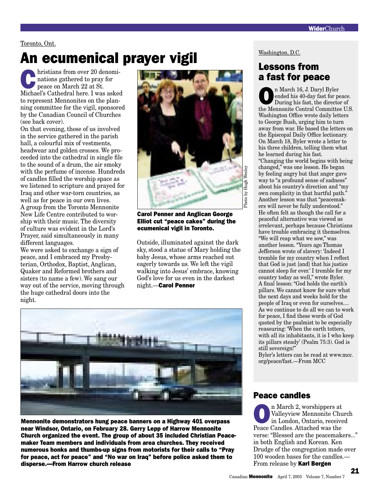#### Toronto, Ont.

## An ecumenical prayer vigil

hristians from over 20 denominations gathered to pray for peace on March 22 at St. Michael's Cathedral here. I was asked to represent Mennonites on the planning committee for the vigil, sponsored by the Canadian Council of Churches (see back cover).

On that evening, those of us involved in the service gathered in the parish hall, a colourful mix of vestments, headwear and golden crosses. We proceeded into the cathedral in single file to the sound of a drum, the air smoky with the perfume of incense. Hundreds of candles filled the worship space as we listened to scripture and prayed for Iraq and other war-torn countries, as well as for peace in our own lives. A group from the Toronto Mennonite New Life Centre contributed to worship with their music. The diversity of culture was evident in the Lord's Prayer, said simultaneously in many different languages.

We were asked to exchange a sign of peace, and I embraced my Presbyterian, Orthodox, Baptist, Anglican, Quaker and Reformed brothers and sisters (to name a few). We sang our way out of the service, moving through the huge cathedral doors into the night.



Carol Penner and Anglican George Elliot cut "peace cakes" during the ecumenical vigil in Toronto.

Outside, illuminated against the dark sky, stood a statue of Mary holding the baby Jesus, whose arms reached out eagerly towards us. We left the vigil walking into Jesus' embrace, knowing God's love for us even in the darkest night.—Carol Penner



Mennonite demonstrators hung peace banners on a Highway 401 overpass near Windsor, Ontario, on February 28. Gerry Lepp of Harrow Mennonite Church organized the event. The group of about 35 included Christian Peacemaker Team members and individuals from area churches. They received numerous honks and thumbs-up signs from motorists for their calls to "Pray for peace, act for peace" and "No war on Iraq" before police asked them to disperse.—From Harrow church release

#### Washington, D.C.

### Lessons from a fast for peace

n March 16, J. Daryl Byler<br>
ended his 40-day fast for po<br>
During his fast, the directo ended his 40-day fast for peace. During his fast, the director of the Mennonite Central Committee U.S. Washington Office wrote daily letters to George Bush, urging him to turn away from war. He based the letters on the Episcopal Daily Office lectionary. On March 18, Byler wrote a letter to his three children, telling them what he learned during his fast. "Changing the world begins with being changed," was one lesson. He began by feeling angry but that anger gave way to "a profound sense of sadness" about his country's direction and "my own complicity in that hurtful path." Another lesson was that "peacemakers will never be fully understood." He often felt as though the call for a peaceful alternative was viewed as irrelevant, perhaps because Christians have trouble embracing it themselves. "We will reap what we sow," was another lesson. "Years ago Thomas Jefferson wrote of slavery: 'Indeed I tremble for my country when I reflect that God is just [and] that his justice cannot sleep for ever.' I tremble for my country today as well," wrote Byler. A final lesson: "God holds the earth's pillars. We cannot know for sure what the next days and weeks hold for the people of Iraq or even for ourselves.... As we continue to do all we can to work for peace, I find these words of God quoted by the psalmist to be especially reassuring: 'When the earth totters, with all its inhabitants, it is I who keep its pillars steady' (Psalm 75:3). God is still sovereign!"

Byler's letters can be read at www.mcc. org/peace/fast.—From MCC

#### Peace candles

**On March 2, worshippers at**<br> **Valleyview Mennonite Chu**<br>
in London, Ontario, receive Valleyview Mennonite Church in London, Ontario, received Peace Candles. Attached was the verse: "Blessed are the peacemakers..." in both English and Korean. Ken Drudge of the congregation made over 100 wooden bases for the candles.— From release by Karl Bergen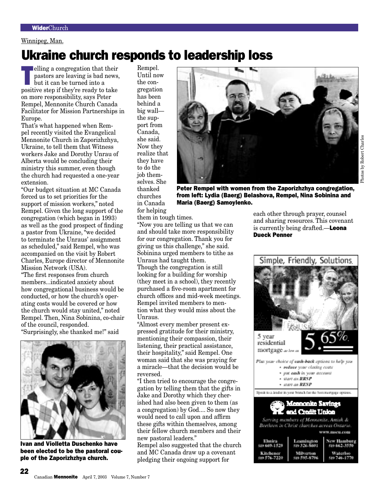#### Winnipeg, Man.

## Ukraine church responds to leadership loss

elling a congregation that their<br>pastors are leaving is bad news,<br>but it can be turned into a<br>positive stop if they're ready to take pastors are leaving is bad news, but it can be turned into a positive step if they're ready to take on more responsibility, says Peter Rempel, Mennonite Church Canada Facilitator for Mission Partnerships in Europe.

That's what happened when Rempel recently visited the Evangelical Mennonite Church in Zaporizhzhya, Ukraine, to tell them that Witness workers Jake and Dorothy Unrau of Alberta would be concluding their ministry this summer, even though the church had requested a one-year extension.

"Our budget situation at MC Canada forced us to set priorities for the support of mission workers," noted Rempel. Given the long support of the congregation (which began in 1993) as well as the good prospect of finding a pastor from Ukraine, "we decided to terminate the Unraus' assignment as scheduled," said Rempel, who was accompanied on the visit by Robert Charles, Europe director of Mennonite Mission Network (USA).

"The first responses from church members...indicated anxiety about how congregational business would be conducted, or how the church's operating costs would be covered or how the church would stay united," noted Rempel. Then, Nina Sobinina, co-chair of the council, responded.

"Surprisingly, she thanked me!" said



Ivan and Violletta Duschenko have been elected to be the pastoral couple of the Zaporizhzhya church.

Rempel. Until now the congregation has been behind a big wall the support from Canada, she said. Now they realize that they have to do the job themselves. She thanked churches in Canada for helping



Peter Rempel with women from the Zaporizhzhya congregation, from left: Lydia (Baerg) Belashova, Rempel, Nina Sobinina and Maria (Baerg) Samoylenko.

them in tough times.

"Now you are telling us that we can and should take more responsibility for our congregation. Thank you for giving us this challenge," she said. Sobinina urged members to tithe as Unraus had taught them. Though the congregation is still looking for a building for worship (they meet in a school), they recently purchased a five-room apartment for church offices and mid-week meetings. Rempel invited members to mention what they would miss about the Unraus.

"Almost every member present expressed gratitude for their ministry, mentioning their compassion, their listening, their practical assistance, their hospitality," said Rempel. One woman said that she was praying for a miracle—that the decision would be reversed.

"I then tried to encourage the congregation by telling them that the gifts in Jake and Dorothy which they cherished had also been given to them (as a congregation) by God.... So now they would need to call upon and affirm these gifts within themselves, among their fellow church members and their new pastoral leaders."

Rempel also suggested that the church and MC Canada draw up a covenant pledging their ongoing support for

each other through prayer, counsel and sharing resources. This covenant is currently being drafted.—**Leona** Dueck Penner

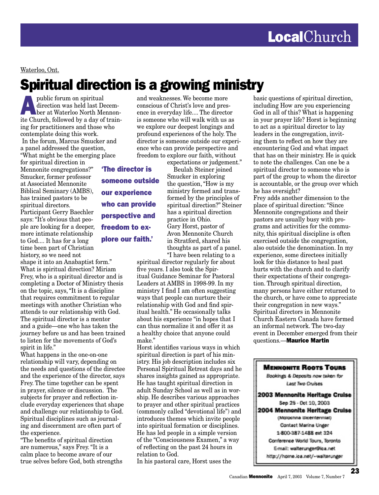Waterloo, Ont.

## Spiritual direction is a growing ministry

public forum on spiritual<br>
direction was held last Decem-<br>
ber at Waterloo North Mennon-<br>
its Church followed by a day of train direction was held last Decemite Church, followed by a day of training for practitioners and those who contemplate doing this work. In the forum, Marcus Smucker and a panel addressed the question, "What might be the emerging place

for spiritual direction in Mennonite congregations?" Smucker, former professor at Associated Mennonite Biblical Seminary (AMBS), has trained pastors to be spiritual directors. Participant Gerry Baechler says: "It's obvious that people are looking for a deeper, more intimate relationship to God.... It has for a long time been part of Christian history, so we need not

shape it into an Anabaptist form." What is spiritual direction? Miriam Frey, who is a spiritual director and is completing a Doctor of Ministry thesis on the topic, says, "It is a discipline that requires commitment to regular meetings with another Christian who attends to our relationship with God. The spiritual director is a mentor and a guide—one who has taken the journey before us and has been trained to listen for the movements of God's spirit in life."

What happens in the one-on-one relationship will vary, depending on the needs and questions of the directee and the experience of the director, says Frey. The time together can be spent in prayer, silence or discussion. The subjects for prayer and reflection include everyday experiences that shape and challenge our relationship to God. Spiritual disciplines such as journaling and discernment are often part of the experience.

"The benefits of spiritual direction are numerous," says Frey. "It is a calm place to become aware of our true selves before God, both strengths and weaknesses. We become more conscious of Christ's love and presence in everyday life.... The director is someone who will walk with us as we explore our deepest longings and profound experiences of the holy. The director is someone outside our experience who can provide perspective and freedom to explore our faith, without

expectations or judgement."

'The director is someone outside our experience who can provide perspective and freedom to explore our faith.'

 Beulah Steiner joined Smucker in exploring the question, "How is my ministry formed and transformed by the principles of spiritual direction?" Steiner has a spiritual direction practice in Ohio. Gary Horst, pastor of Avon Mennonite Church in Stratford, shared his thoughts as part of a panel. "I have been relating to a

spiritual director regularly for about five years. I also took the Spiritual Guidance Seminar for Pastoral Leaders at AMBS in 1998-99. In my ministry I find I am often suggesting ways that people can nurture their relationship with God and find spiritual health." He occasionally talks about his experience "in hopes that I can thus normalize it and offer it as a healthy choice that anyone could make."

Horst identifies various ways in which spiritual direction is part of his ministry. His job description includes six Personal Spiritual Retreat days and he shares insights gained as appropriate. He has taught spiritual direction in adult Sunday School as well as in worship. He describes various approaches to prayer and other spiritual practices (commonly called "devotional life") and introduces themes which invite people into spiritual formation or disciplines. He has led people in a simple version of the "Consciousness Examen," a way of reflecting on the past 24 hours in relation to God.

In his pastoral care, Horst uses the

basic questions of spiritual direction, including How are you experiencing God in all of this? What is happening in your prayer life? Horst is beginning to act as a spiritual director to lay leaders in the congregation, inviting them to reflect on how they are encountering God and what impact that has on their ministry. He is quick to note the challenges. Can one be a spiritual director to someone who is part of the group to whom the director is accountable, or the group over which he has oversight?

Frey adds another dimension to the place of spiritual direction: "Since Mennonite congregations and their pastors are usually busy with programs and activities for the community, this spiritual discipline is often exercised outside the congregation, also outside the denomination. In my experience, some directees initially look for this distance to heal past hurts with the church and to clarify their expectations of their congregation. Through spiritual direction, many persons have either returned to the church, or have come to appreciate their congregation in new ways." Spiritual directors in Mennonite Church Eastern Canada have formed an informal network. The two-day event in December emerged from their questions.—Maurice Martin

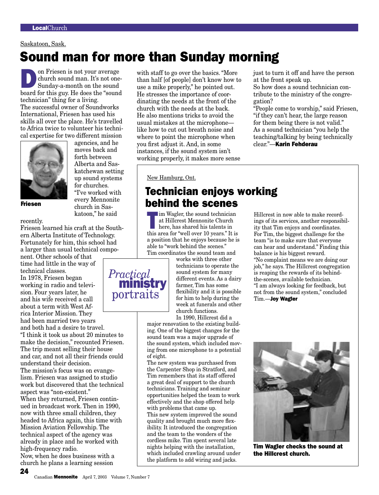#### Saskatoon, Sask.

## Sound man for more than Sunday morning

on Friesen is not your average<br>church sound man. It's not one-<br>Sunday-a-month on the sound church sound man. It's not one-Sunday-a-month on the sound board for this guy. He does the "sound technician" thing for a living. The successful owner of Soundworks International, Friesen has used his skills all over the place. He's travelled to Africa twice to volunteer his technical expertise for two different mission



Friesen

agencies, and he moves back and forth between Alberta and Saskatchewan setting up sound systems for churches. "I've worked with every Mennonite church in Saskatoon," he said

recently. Friesen learned his craft at the South-

ern Alberta Institute of Technology. Fortunately for him, this school had a larger than usual technical component. Other schools of that

time had little in the way of technical classes. In 1978, Friesen began working in radio and television. Four years later, he and his wife received a call about a term with West Africa Interior Mission. They had been married two years and both had a desire to travel. "I think it took us about 20 minutes to make the decision," recounted Friesen. The trip meant selling their house and car, and not all their friends could understand their decision. *Practical* portraits

The mission's focus was on evangelism. Friesen was assigned to studio work but discovered that the technical aspect was "non-existent." When they returned, Friesen contin-

ued in broadcast work. Then in 1990, now with three small children, they headed to Africa again, this time with Mission Aviation Fellowship. The technical aspect of the agency was already in place and he worked with high-frequency radio.

Now, when he does business with a church he plans a learning session

24

with staff to go over the basics. "More than half [of people] don't know how to use a mike properly," he pointed out. He stresses the importance of coordinating the needs at the front of the church with the needs at the back. He also mentions tricks to avoid the usual mistakes at the microphone like how to cut out breath noise and where to point the microphone when you first adjust it. And, in some instances, if the sound system isn't working properly, it makes more sense

New Hamburg, Ont.

### Technician enjoys working behind the scenes

Im Wagler, the sound technician<br>at Hillcrest Mennonite Church<br>here, has shared his talents in<br>this area for "well even 10 years" It is at Hillcrest Mennonite Church here, has shared his talents in this area for "well over 10 years." It is a position that he enjoys because he is able to "work behind the scenes." Tim coordinates the sound team and

> works with three other technicians to operate the sound system for many different events. As a dairy farmer, Tim has some flexibility and it is possible for him to help during the week at funerals and other church functions. In 1990, Hillcrest did a

major renovation to the existing building. One of the biggest changes for the sound team was a major upgrade of the sound system, which included moving from one microphone to a potential of eight.

The new system was purchased from the Carpenter Shop in Stratford, and Tim remembers that its staff offered a great deal of support to the church technicians. Training and seminar opportunities helped the team to work effectively and the shop offered help with problems that came up. This new system improved the sound quality and brought much more flexibility. It introduced the congregation and the team to the wonders of the cordless mike. Tim spent several late nights helping with the installation, which included crawling around under the platform to add wiring and jacks.

just to turn it off and have the person at the front speak up.

So how does a sound technician contribute to the ministry of the congregation?

"People come to worship," said Friesen, "if they can't hear, the large reason for them being there is not valid." As a sound technician "you help the teaching/talking by being technically clear."—Karin Fehderau

Hillcrest in now able to make recordings of its services, another responsibility that Tim enjoys and coordinates. For Tim, the biggest challenge for the team "is to make sure that everyone can hear and understand." Finding this balance is his biggest reward. "No complaint means we are doing our job," he says. The Hillcrest congregation is reaping the rewards of its behindthe-scenes, available technician. "I am always looking for feedback, but not from the sound system," concluded Tim.—Joy Wagler



Tim Wagler checks the sound at the Hillcrest church.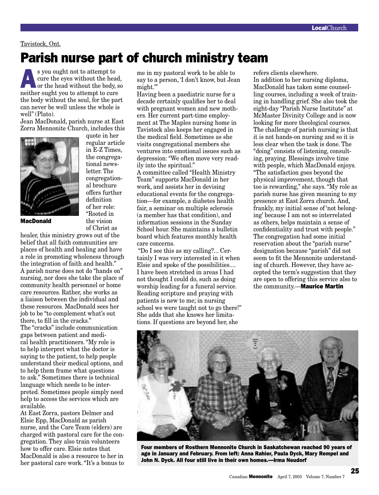#### Tavistock, Ont.

## Parish nurse part of church ministry team

s you ought not to attempt to<br>
or the head without the head,<br>
or the head without the body, so<br>
nother quick you to attempt to guys cure the eyes without the head, neither ought you to attempt to cure the body without the soul, for the part can never be well unless the whole is well" (Plato).

Jean MacDonald, parish nurse at East Zorra Mennonite Church, includes this



quote in her regular article in E-Z Times, the congregational newsletter. The congregational brochure offers further definition of her role: "Rooted in the vision of Christ as

MacDonald

healer, this ministry grows out of the belief that all faith communities are places of health and healing and have a role in promoting wholeness through the integration of faith and health." A parish nurse does not do "hands on" nursing, nor does she take the place of community health personnel or home care resources. Rather, she works as a liaison between the individual and these resources. MacDonald sees her job to be "to complement what's out there, to fill in the cracks." The "cracks" include communication gaps between patient and medical health practitioners. "My role is to help interpret what the doctor is saying to the patient, to help people understand their medical options, and to help them frame what questions to ask." Sometimes there is technical language which needs to be interpreted. Sometimes people simply need help to access the services which are available.

At East Zorra, pastors Delmer and Elsie Epp, MacDonald as parish nurse, and the Care Team (elders) are charged with pastoral care for the congregation. They also train volunteers how to offer care. Elsie notes that MacDonald is also a resource to her in her pastoral care work. "It's a bonus to

me in my pastoral work to be able to say to a person, 'I don't know, but Jean might.'"

Having been a paediatric nurse for a decade certainly qualifies her to deal with pregnant women and new mothers. Her current part-time employment at The Maples nursing home in Tavistock also keeps her engaged in the medical field. Sometimes as she visits congregational members she ventures into emotional issues such as depression: "We often move very readily into the spiritual." A committee called "Health Ministry Team" supports MacDonald in her work, and assists her in devising educational events for the congregation—for example, a diabetes health fair, a seminar on multiple sclerosis (a member has that condition), and information sessions in the Sunday School hour. She maintains a bulletin board which features monthly health care concerns.

 "Do I see this as my calling?... Certainly I was very interested in it when Elsie and spoke of the possibilities.... I have been stretched in areas I had not thought I could do, such as doing worship leading for a funeral service. Reading scripture and praying with patients is new to me; in nursing school we were taught not to go there!" She adds that she knows her limitations. If questions are beyond her, she

refers clients elsewhere.

In addition to her nursing diploma, MacDonald has taken some counselling courses, including a week of training in handling grief. She also took the eight-day "Parish Nurse Institute" at McMaster Divinity College and is now looking for more theological courses. The challenge of parish nursing is that it is not hands-on nursing and so it is less clear when the task is done. The "doing" consists of listening, consulting, praying. Blessings involve time with people, which MacDonald enjoys. "The satisfaction goes beyond the physical improvement, though that too is rewarding," she says. "My role as parish nurse has given meaning to my presence at East Zorra church. And, frankly, my initial sense of 'not belonging' because I am not so interrelated as others, helps maintain a sense of confidentiality and trust with people." The congregation had some initial reservation about the "parish nurse" designation because "parish" did not seem to fit the Mennonite understanding of church. However, they have accepted the term's suggestion that they are open to offering this service also to the community.-Maurice Martin



Four members of Rosthern Mennonite Church in Saskatchewan reached 90 years of age in January and February. From left: Anna Rahier, Paula Dyck, Mary Rempel and John N. Dyck. All four still live in their own homes.—Irma Neudorf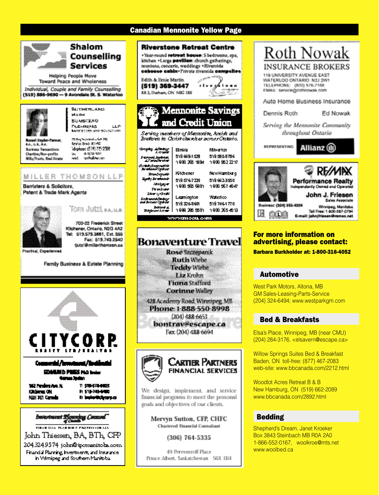## Canadian Mennonite Yellow Page



**Helping People Move Toward Peace and Wholeness** 

Individual, Couple and Family Counselling (519) 886-9690 - 9 Avondale St. S. Waterloo



**SUPPORTS AND MAIN BUMSFEAD** PERMINING  $1.07$ MORETTES AND SOLOTTLED

Shalom

**Services** 

Counselling

al Seydar-Panewer, **EA. U.L.MA. Suriness Inconetions** Cheribis/Non-profits Wille-Orasta, Baul Estate



### MILLER THOMSON LLP

Barristers & Solicitors, Patent & Trade Mark Agents



Tom Jutzi aa.u.a

700-22 Frederick Street Kitchener, Ontario, N2G 4A2 Tel: 513.579.3661, Ext. 355 Fax: 519.743.2540 Sutzi@milerthomson.co

Family Business & Estate Planning





204.324.9574 joha@ipemanitoha.com Financial Planning, Investments, and Insurance. in Wirnipeg and Southern Manitobal

### **Riverstone Retreat Centre**

+Year-round retreat house: 5 bedrooms, spa, kitchen . Large pavilion: church gatherings, reunions, concerts, weddings . Riverside caboose cabin-Private riverside campeltes

Edith & Ernie Martin (519) 369-3447 RR 2, Durham, ON NOG 180

ր**ճ 1 ո** աւ ո

### Mennonite and Credit Union

Serving members of Mannonite, Amish and Brettown in Christ clareches across Ontario.

| Processed Jackson<br>All processed on<br>Scherphonomethe<br>Montenant Cycles | 8mira<br>519 6654 528<br>1900 265 1994       | Mikatan<br>519.295-3796<br>ኅ 900 952 22 17  |
|------------------------------------------------------------------------------|----------------------------------------------|---------------------------------------------|
| <b>Row-Deputy</b><br>Euro Inventante<br>Maniyey a<br>Tendone                 | Kitchener<br>5195767220<br>1900 525 6901     | NewHamburq<br>519 662.3550<br>1900 567 4047 |
| Idea y Oral<br><b>Johnson Markey</b><br>and Jessen Co.                       | Learnington<br>519326-3601<br>1999 295 550 ከ | Waterloo<br>519 7464 770<br>1900-2554518    |

**WWW.amsell.com** 

| Rose Szczepanik                |
|--------------------------------|
| <b>Ruth Wiebe</b>              |
| <b>Teddy Wiebe</b>             |
| Liz Krohn                      |
| <b>Fiona</b> Stafford          |
| <b>Corinne Walley</b>          |
| 428 Academy Road, Winnipeg, MB |
| Phone: 1-888-550-8998          |
| $(204)$ 488-6653               |
| bontrav@escape.ca              |
| Fax: (204) 488-6694            |



We design, implement, and service financial programs to meet the personal goals and objectives of our clients.

> Mervyn Sutton, CFP, CHFC **Chartered Financial Consultant**

> > (306) 764-5335

49 Pereverzoff Place Prince Albert, Saskatchewan S6X 1B4

## **Roth Nowak INSURANCE BROKERS**

119 UNIVERSITY AVENUE EAST WATERLOO ONTARIO N2J 2W1 TELEPHONE: (800) 576-7166

**EMAIL:** service@rothnowak.com

Auto Home Business Insurance

Dennis Roth

Ed Nowak

Serving the Mennonite Community throughout Ontario

**REPRESENTING** 

Allianz (il)



#### For more information on advertising, please contact:

Barbara Burkholder at: 1-800-316-4052

### Automotive Automotive

West Park Motors, Altona, MB GM Sales-Leasing-Parts-Service (204) 324-6494; www.westparkgm.com

### Bed & Breakfasts Bed & Breakfasts

Elsa's Place, Winnipeg, MB (near CMU) (204) 284-3176, <elsavern@escape.ca>

Willow Springs Suites Bed & Breakfast Baden, ON toll-free: (877) 467-2083 web-site: www.bbcanada.com/2212.html

Woodlot Acres Retreat B & B New Hamburg, ON (519) 662-2089 www.bbcanada.com/2892.html

### Bedding Bedding

Shepherd's Dream, Janet Kroeker Box 3843 Steinbach MB R0A 2A0 1-866-552-0167, woolkroe@mts.net www.woolbed.ca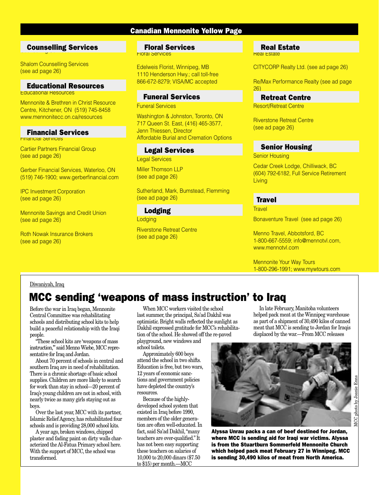#### Canadian Mennonite Yellow Page

### Counselling Services Counselling Services

Shalom Counselling Services (see ad page 26)

#### Educational Resources

Educational Resources

Mennonite & Brethren in Christ Resource Centre, Kitchener, ON (519) 745-8458 www.mennonitecc.on.ca/resources

#### Financial Services

Financial Services

Cartier Partners Financial Group (see ad page 26)

Gerber Financial Services, Waterloo, ON (519) 746-1900; www.gerberfinancial.com

IPC Investment Corporation (see ad page 26)

Mennonite Savings and Credit Union (see ad page 26)

Roth Nowak Insurance Brokers (see ad page 26)

#### Floral Services Floral Services

Edelweis Florist, Winnipeg, MB 1110 Henderson Hwy.; call toll-free 866-672-8279; VISA/MC accepted

#### Funeral Services

Funeral Services

Washington & Johnston, Toronto, ON 717 Queen St. East, (416) 465-3577, Jenn Thiessen, Director Affordable Burial and Cremation Options

#### Legal Services

Legal Services

Miller Thomson LLP (see ad page 26)

Sutherland, Mark, Bumstead, Flemming (see ad page 26)

**Lodging** Lodging

Riverstone Retreat Centre (see ad page 26)

#### **Real Estate** Real Estate

CITYCORP Realty Ltd. (see ad page 26)

Re/Max Performance Realty (see ad page 26)

#### Retreat Centre

Resort/Retreat Centre

Riverstone Retreat Centre (see ad page 26)

#### Senior Housing

Senior Housing

Cedar Creek Lodge, Chilliwack, BC (604) 792-6182, Full Service Retirement Living

#### **Travel**

**Travel** 

Bonaventure Travel (see ad page 26)

Menno Travel, Abbotsford, BC 1-800-667-5559; info@mennotvl.com, www.mennotvl.com

Mennonite Your Way Tours 1-800-296-1991; www.mywtours.com

#### Diwaniyah, Iraq

## MCC sending 'weapons of mass instruction' to Iraq

Before the war in Iraq began, Mennonite Central Committee was rehabilitating schools and distributing school kits to help build a peaceful relationship with the Iraqi people.

"These school kits are 'weapons of mass instruction,'" said Menno Wiebe, MCC representative for Iraq and Jordan.

About 70 percent of schools in central and southern Iraq are in need of rehabilitation. There is a chronic shortage of basic school supplies. Children are more likely to search for work than stay in school—20 percent of Iraq's young children are not in school, with nearly twice as many girls staying out as boys.

Over the last year, MCC with its partner, Islamic Relief Agency, has rehabilitated four schools and is providing 28,000 school kits.

A year ago, broken windows, chipped plaster and fading paint on dirty walls characterized the Al-Fatua Primary school here. With the support of MCC, the school was transformed.

When MCC workers visited the school last summer, the principal, Sa'ad Dakhil was optimistic. Bright walls reflected the sunlight as Dakhil expressed gratitude for MCC's rehabilitation of the school. He showed off the re-paved playground, new windows and

school toilets. Approximately 600 boys

attend the school in two shifts. Education is free, but two wars, 12 years of economic sanctions and government policies have depleted the country's resources.

Because of the highlydeveloped school system that existed in Iraq before 1990, members of the older generation are often well-educated. In fact, said Sa'ad Dakhil, "many teachers are over-qualified." It has not been easy supporting these teachers on salaries of 10,000 to 20,000 dinars (\$7.50 to \$15) per month.—MCC

In late February, Manitoba volunteers helped pack meat at the Winnipeg warehouse as part of a shipment of 30,490 kilos of canned meat that MCC is sending to Jordan for Iraqis displaced by the war.—From MCC releases



is sending 30,490 kilos of meat from North America.

Alyssa Unrau packs a can of beef destined for Jordan, where MCC is sending aid for Iraqi war victims. Alyssa is from the Stuartburn Sommerfeld Mennonite Church which helped pack meat February 27 in Winnipeg. MCC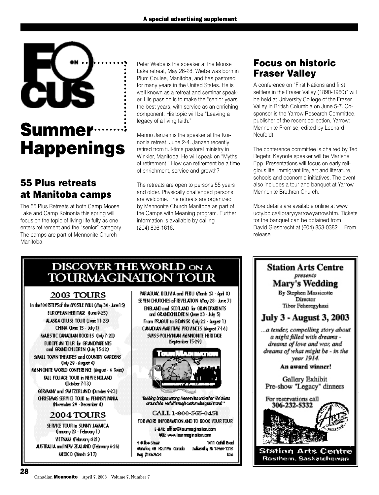

## Summer Happenings

### 55 Plus retreats at Manitoba camps

The 55 Plus Retreats at both Camp Moose Lake and Camp Koinonia this spring will focus on the topic of living life fully as one enters retirement and the "senior" category. The camps are part of Mennonite Church Manitoba.

Peter Wiebe is the speaker at the Moose Lake retreat, May 26-28. Wiebe was born in Plum Coulee, Manitoba, and has pastored for many years in the United States. He is well known as a retreat and seminar speaker. His passion is to make the "senior years" the best years, with service as an enriching component. His topic will be "Leaving a legacy of a living faith."

Menno Janzen is the speaker at the Koinonia retreat, June 2-4. Janzen recently retired from full-time pastoral ministry in Winkler, Manitoba. He will speak on "Myths of retirement." How can retirement be a time of enrichment, service and growth?

The retreats are open to persons 55 years and older. Physically challenged persons are welcome. The retreats are organized by Mennonite Church Manitoba as part of the Camps with Meaning program. Further information is available by calling (204) 896-1616.

### Focus on historic Fraser Valley

A conference on "First Nations and first settlers in the Fraser Valley (1890-1960)" will be held at University College of the Fraser Valley in British Columbia on June 5-7. Cosponsor is the Yarrow Research Committee, publisher of the recent collection, Yarrow: Mennonite Promise, edited by Leonard Neufeldt.

The conference committee is chaired by Ted Regehr. Keynote speaker will be Marlene Epp. Presentations will focus on early religious life, immigrant life, art and literature, schools and economic initiatives. The event also includes a tour and banquet at Yarrow Mennonite Brethren Church.

More details are available online at www. ucfy.bc.ca/library/yarrow/yarrow.htm. Tickets for the banquet can be obtained from David Giesbrecht at (604) 853-0382.—From release

### DISCOVER THE WORLD ON A **TOURMAGINATION TOUR**

### 2003 TOURS

In the FOO ISTEPS of the APOSILE PAUL (May 30 stare 15). EUROPEAN HERITAGE (June 9-25) ALASKA CRUSE TOUR (June 11-23) CHNA (June 15 - July 1) MALESTIC CANADIAN ROCKIES (Init) 7-20). EUROPE AN TOUR EF GRANDPARENTS. and GRANDOHLDREN (July 15-22) SIMUL TOWN THEATRES and COUNTRY GARDENS. (luly 29 - August 4) NENNONITE WORLD CONFERENCE (August - 6 Tours) **BULL FOLLAGE TO UR in NEW ENGLAND.** 0xisber 7-130 GERMANY and SWIZERLAND October 9:233 CHRISTANS SERVICE TOUR 1a PENNSYLVANIA. (November 29 - December 4) **2004 TOURS** SERVICE TOUR In SUNNY JAMACA. (kancary 23 - February 1). **METNAM (February 421)** 

ASTRAIA and NEW ZEALAND (February 6-26).

MEXICO (Wards 217)

PARAGUAY, BOLIVIA and PERU (March 23 - April 8). SEVEN CHURCHES of REVELATION (May 28 - June 7). ENGLAND and SCO LAND for GRANDPARENTS. and GRANDOHLDREN (June 23 - July 5). From FRAGUE to GDANSK (Ivity 22 - August 1). CANADIAN MARITIME PROVINCES (August 7-16) SWISS-VOLHYNUN MENNONITE HERITAGE Castenber 15-29)



Building bridges crong Neonanites and other divisions. aramahla verlahirangi anstanolesignal turel"

#### CALL 1-800-505-0451

FOR MORE INFORMATION AND TO BOOK YOUR TOUR.

E-VAL: office@lourmogination.com **VB: ww.larmaindin.com** e Wilkwickmaar

1011 Collail Road Materiog OH H2J1V& Carada Salarying Re 18960-1315 Bag #1567624 IK4

**Station Arts Centre** presents **Mary's Wedding** By Stephen Massicotte Director Tibor Feheregyhazi **July 3 - August 3, 2003** ... a tender, compelling story about a night filled with dreams dreams of love and war, and dreams of what might be - in the year 1914.

An award winner!

Gallery Exhibit Pre-show "Legacy" dinners

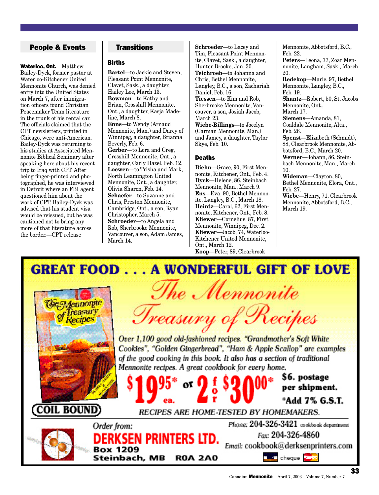#### People & Events Transitions

Waterloo, Ont.—Matthew Bailey-Dyck, former pastor at Waterloo-Kitchener United Mennonite Church, was denied entry into the United States on March 7, after immigration officers found Christian Peacemaker Team literature in the trunk of his rental car. The officials claimed that the CPT newsletters, printed in Chicago, were anti-American. Bailey-Dyck was returning to his studies at Associated Mennonite Biblical Seminary after speaking here about his recent trip to Iraq with CPT. After being finger-printed and photographed, he was interviewed in Detroit where an FBI agent questioned him about the work of CPT. Bailey-Dyck was advised that his student visa would be reissued, but he was cautioned not to bring any more of that literature across the border.—CPT release

#### Births

**Bartel**—to Jackie and Steven, Pleasant Point Mennonite, Clavet, Sask., a daughter, Hailey Lee, March 13. **Bowman**—to Kathy and Brian, Crosshill Mennonite, Ont., a daughter, Kasja Madeline, March 8. **Enns**—to Wendy (Arnaud Mennonite, Man.) and Darcy of Winnipeg, a daughter, Brianna Beverly, Feb. 6. **Gerber**—to Lora and Greg, Crosshill Mennonite, Ont., a daughter, Carly Hazel, Feb. 12. **Loewen**—to Trisha and Mark, North Leamington United Mennonite, Ont., a daughter, Olivia Sharon, Feb. 14. **Schaefer**—to Suzanne and Chris, Preston Mennonite, Cambridge, Ont., a son, Ryan Christopher, March 5. **Schroeder**—to Angela and Rob, Sherbrooke Mennonite, Vancouver, a son, Adam James, March 14.

**Schroeder**—to Lacey and Tim, Pleasant Point Mennonite, Clavet, Sask., a daughter, Hunter Brooke, Jan. 30. **Teichroeb**—to Johanna and Chris, Bethel Mennonite, Langley, B.C., a son, Zachariah Daniel, Feb. 16. **Tiessen**—to Kim and Rob, Sherbrooke Mennonite, Vancouver, a son, Josiah Jacob, March 23. **Wiebe-Billings**—to Jocelyn (Carman Mennonite, Man.) and Jamey, a daughter, Taylor Skye, Feb. 10.

#### **Deaths**

**Biehn**—Grace, 90, First Mennonite, Kitchener, Ont., Feb. 4. **Dyck**—Helene, 86, Steinbach Mennonite, Man., March 9. **Ens**—Eva, 90, Bethel Mennonite, Langley, B.C., March 18. **Heintz**—Carol, 62, First Mennonite, Kitchener, Ont., Feb. 8. **Kliewer**—Cornelius, 87, First Mennonite, Winnipeg, Dec. 2. **Kliewer**—Jacob, 74, Waterloo-Kitchener United Mennonite, Ont., March 12.

**Koop**—Peter, 89, Clearbrook

Mennonite, Abbotsford, B.C., Feb. 22. **Peters**—Leona, 77, Zoar Mennonite, Langham, Sask., March 20. **Redekop**—Marie, 97, Bethel Mennonite, Langley, B.C., Feb. 19. **Shantz**—Robert, 50, St. Jacobs Mennonite, Ont., March 17. **Siemens**—Amanda, 81, Coaldale Mennonite, Alta., Feb. 26. **Spenst**—Elizabeth (Schmidt), 88, Clearbrook Mennonite, Abbotsford, B.C., March 20. **Werner**—Johann, 86, Steinbach Mennonite, Man., March 10. **Wideman**—Clayton, 80, Bethel Mennonite, Elora, Ont., Feb. 27. **Wiebe**—Henry, 71, Clearbrook Mennonite, Abbotsford, B.C.,

March 19.

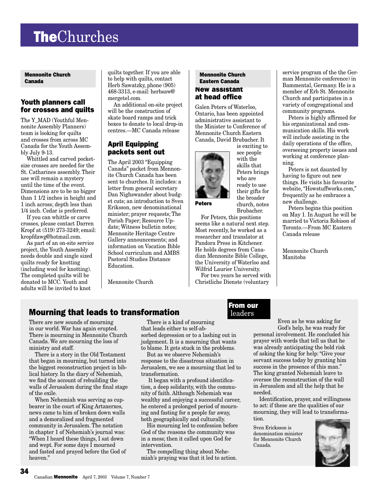## **TheChurches**

mennomic enanci Canada Mennonite Church

#### Youth planners call for crosses and quilts

The Y\_MAD (Youthful Mennonite Assembly Planners) team is looking for quilts and crosses from across MC Canada for the Youth Assembly July 9-13.

Whittled and carved pocketsize crosses are needed for the St. Catharines assembly. Their use will remain a mystery until the time of the event. Dimensions are to be no bigger than 1 1/2 inches in height and 1 inch across; depth less than 1/4 inch. Cedar is preferred.

If you can whittle or carve crosses, please contact Darren Kropf at (519) 273-3249; email: kropfdawg@hotmail.com.

As part of an on-site service project, the Youth Assembly needs double and single sized quilts ready for knotting (including wool for knotting). The completed quilts will be donated to MCC. Youth and adults will be invited to knot

quilts together. If you are able to help with quilts, contact Herb Sawatzky, phone (905) 468-3313, e-mail: herbsaw@ mergetel.com.

An additional on-site project will be the construction of skate board ramps and trick boxes to donate to local drop-in centres.—MC Canada release

#### April Equipping packets sent out

The April 2003 "Equipping Canada" packet from Mennonite Church Canada has been sent to churches. It includes: a letter from general secretary Dan Nighswander about budget cuts; an introduction to Sven Eriksson, new denominational minister; prayer requests; The Parish Paper; Resource Update; Witness bulletin notes; Mennonite Heritage Centre Gallery announcements; and information on Vacation Bible School curriculum and AMBS Pastoral Studies Distance Education.

Mennonite Church

#### **Mennonite Church** New assistant at head office Eastern Canada

Galen Peters of Waterloo, Ontario, has been appointed administrative assistant to the Minister to Conference of Mennonite Church Eastern Canada, David Brubacher. It



is exciting to see people with the skills that Peters brings who are ready to use their gifts for the broader church, notes Brubacher.

For Peters, this positions seems like a natural next step. Most recently, he worked as a researcher and translator at Pandora Press in Kitchener. He holds degrees from Canadian Mennonite Bible College, the University of Waterloo and Wilfrid Laurier University.

For two years he served with Christliche Dienste (voluntary

service program of the the German Mennonite conference) in Bammental, Germany. He is a member of Erb St. Mennonite Church and participates in a variety of congregational and community programs.

Peters is highly affirmed for his organizational and communication skills. His work will include assisting in the daily operations of the office, overseeing property issues and working at conference planning.

Peters is not daunted by having to figure out new things. He visits his favourite website, "Howstuffworks.com," frequently as he embraces a new challenge.

Peters begins this position on May 1. In August he will be married to Victoria Robison of Toronto.—From MC Eastern Canada release

Mennonite Church Manitoba

### Mourning that leads to transformation

There are new sounds of mourning in our world. War has again erupted. There is mourning in Mennonite Church Canada. We are mourning the loss of ministry and staff.

There is a story in the Old Testament that began in mourning, but turned into the biggest reconstruction project in biblical history. In the diary of Nehemiah, we find the account of rebuilding the walls of Jerusalem during the final stage of the exile.

When Nehemiah was serving as cupbearer in the court of King Artaxerxes, news came to him of broken down walls and a demoralized and fragmented community in Jerusalem. The notation in chapter 1 of Nehemiah's journal was: "When I heard these things, I sat down and wept. For some days I mourned and fasted and prayed before the God of heaven."

There is a kind of mourning that leads either to self-absorbed depression or to a lashing out in judgement. It is a mourning that wants to blame. It gets stuck in the problems.

But as we observe Nehemiah's response to the disastrous situation in Jerusalem, we see a mourning that led to transformation.

 It began with a profound identification, a deep solidarity, with the community of faith. Although Nehemiah was wealthy and enjoying a successful career, he entered a prolonged period of mourning and fasting for a people far away, both geographically and culturally.

His mourning led to confession before God of the reasons the community was in a mess; then it called upon God for intervention.

The compelling thing about Nehemiah's praying was that it led to action.

#### From our leaders

Even as he was asking for God's help, he was ready for personal involvement. He concluded his prayer with words that tell us that he was already anticipating the bold risk of asking the king for help: "Give your servant success today by granting him success in the presence of this man." The king granted Nehemiah leave to oversee the reconstruction of the wall in Jerusalem and all the help that he needed.

Identification, prayer, and willingness to act: if these are the qualities of our mourning, they will lead to transformation.

Sven Ericksson is denomination minister for Mennonite Church Canada.

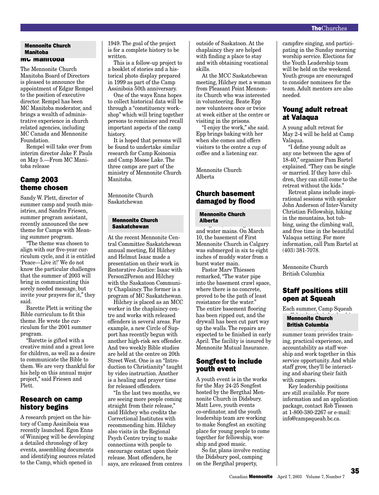#### Manitoba **MC Manitoba** Mennonite Church

The Mennonite Church Manitoba Board of Directors is pleased to announce the appointment of Edgar Rempel to the position of executive director. Rempel has been MC Manitoba moderator, and brings a wealth of administrative experience in church related agencies, including MC Canada and Mennonite Foundation.

Rempel will take over from interim director Jake F. Pauls on May 5.—From MC Manitoba release

#### Camp 2003 theme chosen

Sandy W. Plett, director of summer camp and youth ministries, and Sandra Friesen, summer program assistant, recently announced the new theme for Camps with Meaning summer program.

"The theme was chosen to align with our five-year curriculum cycle, and it is entitled 'Peace—Live it!' We do not know the particular challenges that the summer of 2003 will bring in communicating this sorely needed message, but invite your prayers for it," they said.

Barette Plett is writing the Bible curriculum to fit this theme. He wrote the curriculum for the 2001 summer program.

"Barette is gifted with a creative mind and a great love for children, as well as a desire to communicate the Bible to them. We are very thankful for his help on this annual major project," said Friesen and Plett.

#### Research on camp history begins

A research project on the history of Camp Assiniboia was recently launched. Egon Enns of Winnipeg will be developing a detailed chronology of key events, assembling documents and identifying sources related to the Camp, which opened in

1949. The goal of the project is for a complete history to be written.

This is a follow-up project to a booklet of stories and a historical photo display prepared in 1999 as part of the Camp Assiniboia 50th anniversary.

One of the ways Enns hopes to collect historical data will be through a "constituency workshop" which will bring together persons to reminisce and recall important aspects of the camp history.

It is hoped that persons will be found to undertake similar research for Camp Koinonia and Camp Moose Lake. The three camps are part of the ministry of Mennonite Church Manitoba.

Mennonite Church Saskatchewan

#### **Mennonite Church** Saskatchewan

At the recent Mennonite Central Committee Saskatchewan annual meeting, Ed Hilchey and Helmut Isaac made a presentation on their work in Restorative Justice: Isaac with Person2Person and Hilchey with the Saskatoon Community Chaplaincy. The former is a program of MC Saskatchewan.

Hilchey is placed as an MCC worker in the chaplaincy centre and works with released offenders in several areas. For example, a new Circle of Support has recently begun with another high-risk sex offender. And two weekly Bible studies are held at the centre on 20th Street West. One is an "Introduction to Christianity" taught by video instruction. Another is a healing and prayer time for released offenders.

"In the last two months, we are seeing more people coming straight from their release," said Hilchey who credits the Correctional Institutes with recommending him. Hilchey also visits in the Regional Psych Centre trying to make connections with people to encourage contact upon their release. Most offenders, he says, are released from centres outside of Saskatoon. At the chaplaincy they are helped with finding a place to stay and with obtaining vocational skills.

At the MCC Saskatchewan meeting, Hilchey met a woman from Pleasant Point Mennonite Church who was interested in volunteering. Beate Epp now volunteers once or twice at week either at the centre or visiting in the prisons.

"I enjoy the work," she said. Epp brings baking with her when she comes and offers visitors to the centre a cup of coffee and a listening ear.

Mennonite Church Alberta

#### Church basement damaged by flood

#### **Mennonite Church** momento on the minus of the minus of the minus of the minus of the minus of the minus of the minus of the minus of the minus of the minus of the minus of the minus of the minus of the minus of the minus of the minus of the

 $\frac{30}{2}$  degrees, breaking records and water mains. On March 10, the basement of First Mennonite Church in Calgary was submerged in six to eight inches of muddy water from a burst water main.

Pastor Marv Thiessen remarked, "The water pipe into the basement crawl space, where there is no concrete, proved to be the path of least resistance for the water." The entire basement flooring has been ripped out, and the drywall has been cut part way up the walls. The repairs are expected to be finished in early April. The facility is insured by Mennonite Mutual Insurance.

#### Songfest to include youth event

A youth event is in the works for the May 24-25 Songfest hosted by the Bergthal Mennonite Church in Didsbury. Matt Love, youth events co-ordinator, and the youth leadership team are working to make Songfest an exciting place for young people to come together for fellowship, worship and good music.

So far, plans involve renting the Didsbury pool, camping on the Bergthal property,

campfire singing, and participating in the Sunday morning worship service. Elections for the Youth Leadership team will be held on the weekend. Youth groups are encouraged to consider nominees for the team. Adult mentors are also needed.

#### Young adult retreat at Valaqua

A young adult retreat for May 2-4 will be held at Camp Valaqua.

"I define young adult as any one between the ages of 18-40," organizer Pam Bartel explained. "They can be single or married. If they have children, they can still come to the retreat without the kids."

Retreat plans include inspirational sessions with speaker John Anderson of Inter-Varsity Christian Fellowship, hiking in the mountains, hot tubbing, using the climbing wall, and free time in the beautiful Valaqua setting. For more information, call Pam Bartel at (403) 381-7078.

Mennonite Church British Columbia

#### Staff positions still open at Squeah

Each summer, Camp Squeah

#### **State of the development of the state of the state of the state of the state of the state of the state of the state of the state of the state of the state of the state of the state of the state of the state of the state o** monnonto charchella<br>British Columbia **Different Schannon**

summer team provides training, practical experience, and accountability as staff worship and work together in this service opportunity. And while staff grow, they'll be interacting and sharing their faith with campers.

Key leadership positions are still available. For more information and an application package, contact Rob Tiessen at 1-800-380-2267 or e-mail: info@campsqueah.bc.ca.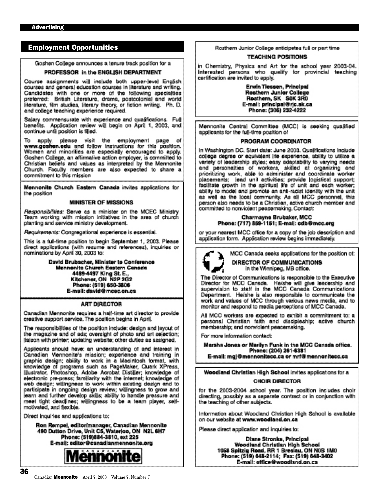#### Employment Opportunities

Goshen College announces a tenure track position for a

#### PROFESSOR in the ENGLISH DEPARTMENT

Course assignments will include both upper-level English courses and general education courses in literature and writing. Candidates with one or more of the following specialties preferred: British Literature, drama, postcolonial and world<br>literature, film studies, literary theory, or fiction writing. Ph. D. and college teaching experience required.

Salary commensurate with experience and qualifications. Full benefits. Application review will begin on April 1, 2003, and continue until position is filled.

To apply, please visit the employment page of<br>www.goshen.edu and follow instructions for this position. Women and minorities are especially encouraged to apply. Goshen College, an affirmative action employer, is committed to Christian beliefs and values as interpreted by the Mennonite Church. Faculty members are also expected to share a commitment to this mission

Mennonite Church Eastern Canada invites applications for the position

#### **MINISTER OF MISSIONS**

Responsibilities: Serve as a minister on the MCEC Ministry Team working with mission initiatives in the area of church planting and service ministry development.

Requirements: Congregational experience is essential.

This is a full-time position to begin September 1, 2003. Please direct applications (with resume and references), inquiries or nominations by April 30, 2003 to:

> David Brubacher, Minister to Conference Mennonite Church Eastern Canada 4489-4497 King St. E., Kitchener, ON N2P 2G2 Phone: (519) 650-3806 E-mail: david@mcec.on.ca

#### **ART DIRECTOR**

Canadian Mennonite requires a half-time art director to provide creative support service. The position begins in April.

The responsibilities of the position include: design and layout of the magazine and of ads; oversight of photo and art selection; liaison with printer: updating website; other duties as assigned.

Applicants should have: an understanding of and interest in Canadian Mennonite's mission; experience and training in graphic design; ability to work in a Macintosh format, with<br>knowledge of programs such as PageMaker, Quark XPress, illustrator. Photoshop, Adobe Acrobat Distiller; knowledge of electronic pre-press; familiarity with the internet; knowledge of web design; willingness to work within existing design and to participate in ongoing design review; willingness to grow and learn and further develop skills; ability to handle pressure and meet tight deadlines; willingness to be a team player, selfmotivated, and flexible.

Direct inquiries and applications to:

Ron Rempel, editor/manager, Canadian Mennonite 490 Dutton Drive, Unit C5, Waterloo, ON N2L 6H7 Phone: (519)884-3810, ext 225 E-mail: editor@canadianmennonite.org



Rosthern Junior College anticipates full or part time

#### **TEACHING POSITIONS**

in Chemistry, Physics and Art for the school year 2003-04. Interested persons who qualify for provincial teaching certification are invited to apply.

> Erwin Tiessen, Principal Rosthern Junior College Rosthern, SK SOK 3R0 E-mail: principal@rjc.sk.ca Phone: (306) 232-4222

Mennonite Central Committee (MCC) is seeking qualified applicants for the full-time position of

#### PROGRAM COORDINATOR

in Washington DC. Start date: June 2003. Qualifications include college degree or equivalent life experience, ability to utilize a variety of leadership styles; easy adaptability to varying needs and personalties of workers, skilled at organizing and prioritizing work, able to administer and coordinate worker placements; lead unit activities; provide logistical support; facilitate growth in the spiritual life of unit and each worker; ability to model and promote an anti-racist identity with the unit as well as the local community. As all MCC personnel, this person also needs to be a Christian, active church member and committed to nonviolent peacemaking. Contact:

#### Charmayne Brubaker, MCC Phone: (717) 859-1151; E-mail: odb@mcc.org

or your nearest MCC office for a copy of the job description and application form. Application review begins immediately.



MCC Canada seeks applications for the position of:

**DIRECTOR OF COMMUNICATIONS** in the Winnipeg, MB office.

The Director of Communications is responsible to the Executive Director for MCC Canada. He/she will give leadership and supervision to staff in the MCC Canada Communications Department. He/she is also responsible to communicate the work and values of MCC through various news media, and to monitor and respond to media perceptions of MCC Canada.

All MCC workers are expected to exhibit a commitment to: a personal Christian faith and discipleship; active church membership; and nonviolent peacemaking.

For more information contact:

Marsha Jones or Marilyn Funk in the MCC Canada office. Phone: (204) 261-6381 E-mail: mgj@mennonitecc.ca or mrf@mennonitecc.ca

Woodland Christian High School invites applications for a **CHOIR DIRECTOR** 

for the 2003-2004 school year. The position includes choir directing, possibly as a separate contract or in conjunction with the teaching of other subjects.

Information about Woodland Christian High School is available on our website at www.woodland.on.ca

Please direct application and inquiries to:

Diane Stronks, Principal Woodland Christian High School 1058 Spitzig Road, RR 1 Breslau, ON N0B 1M0 Phone: (519) 648-2114; Fax: (519) 648-3402 E-mail: office@woodland.on.ca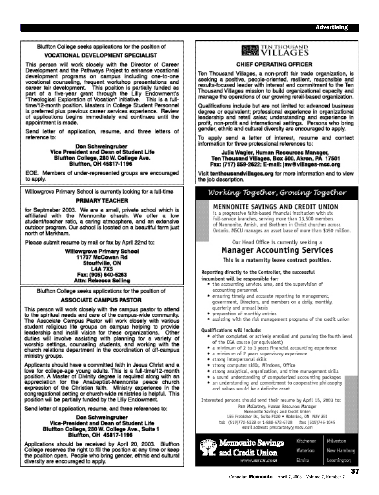Bluffton College seeks applications for the position of

#### **VOCATIONAL DEVELOPMENT SPECIALIST**

This person will work closely with the Director of Career Development and the Pathways Project to enhance vocational development programs on campus including one-to-one vocational counseling, frequent workshop presentations and<br>career fair development. This position is partially funded as part of a five-year grant through the Lilly Endowment's "Theological Exploration of Vocation" initiative. This is a fulltime/12-month position. Masters in College Student Personnel is preferred plus previous career services experience. Review of applications begins immediately and continues until the appointment is made.

Send letter of application, resume, and three letters of reference to:

> Don Schweingruber Vice President and Dean of Student Life Bluffton College, 280 W. College Ave.<br>Bluffton, OH 45817-1196

EOE. Members of under-represented groups are encouraged to apply.

Willowgrove Primary School is currently looking for a full-time

#### **PRIMARY TEACHER**

for Septmeber 2003. We are a small, private school which is affiliated with the Mennonite church. We offer a low student/teacher ratio, a caring atmosphere, and an extensive outdoor program. Our school is located on a beautiful farm just north of Markham.

Please submit resume by mail or fax by April 22nd to:

Willowgrove Primary School 11737 McCowan Rd Stouffville, ON **L4A 7X5** Fax: (905) 640-5263 Attn: Rebecca Seiling

Bluffton College seeks applications for the position of

#### **ASSOCIATE CAMPUS PASTOR**

This person will work closely with the campus pastor to attend to the spiritual needs and care of the campus-wide community. The Associate Campus Pastor will work closely with various student religious life groups on campus helping to provide<br>leadership and instill vision for these organizations. Other duties will involve assisting with planning for a variety of worship settings, counseling students, and working with the church relations department in the coordination of off-campus ministry groups.

Applicants should have a committed faith in Jesus Christ and a love for college-age young adults. This is a full-time/12-month position. A Master of Divinity degree is required along with an appreciation for the Anabaptist-Mennonite peace church expression of the Christian faith. Ministry experience in the congregational setting or church-wide ministries is helpful. This position will be partially funded by the Lilly Endowment.

Send letter of application, resume, and three references to:

#### Don Schweingruber Vice-President and Dean of Student Life Bluffton College, 280 W. College Ave., Suite 1<br>Bluffton, OH 45817-1196

Applications should be received by April 20, 2003. Bluffton College reserves the right to fill the position at any time or keep the position open. People who bring gender, ethnic and cultural diversity are encouraged to apply.

**WE VILLAGES** 

#### CHIEF OPERATING OFFICER

Ten Thousand Villages, a non-profit fair trade organization, is seeking a positive, people-oriented, resilient, responsible and results-focused leader with interest and commitment to the Ten Thousand Villages mission to build organizational capacity and manage the operations of our growing retail-based organization.

Qualifications include but are not limited to: advanced business degree or equivalent; professional experience in organizational leadership and retail sales; understanding and experience in profit, non-profit and international settings. Persons who bring gender, ethnic and cultural diversity are encouraged to apply.

To apply send a letter of interest, resume and contact information for three professional references to:

#### Julia Wagler, Human Resources Manager, Ten Thousand Villages, Box 500, Akron, PA 17501 Fax: (717) 859-2622; E-mail: jaw@villages-mcc.org

Visit tenthousandvillages.org for more information and to view the job description.

#### Working Together, Growing Together

#### MENNONITE SAVINGS AND CREDIT UNION

is a progressive faith-based financial institution with six full-service branches, serving more than 13,500 members. of Mennonite, Amish, and Brethren in Christ churches across. Ontario. MSCU manages an asset base of more than \$350 million.

#### Our Head Office is currently seeking a Manager Accounting Services

This is a maternity leave contract position.

Reporting directly to the Controller, the successful incumbent will be responsible for:

- . the accounting services area, and the supervision of accounting personnel.
- · ensuring timely and accurate reporting to management, government, Directors, and members on a daily, monthly, quarterly and annual basis
- · preparation of monthly entries.
- · assisting with the risk management programs of the credit union

#### Qualifications will include:

- · either completed or actively enrolled and pursuing the fourth level of the CGA course (or equivalent)
- · a minimum of 2 to 3 years financial accounting experience
- · a minimum of 2 years supervisory experience
- · strong interpersonal skills
- · strong computer skills, Windows, Office
- · strong analytical, organization, and time management skills
- · a sound understanding of computerized accounting packages
- · an understanding and commitment to cooperative philosophy and values would be a definite asset.

Interested persons should send their resume by April 15, 2003 to: Pam McCartney, Human Resources Manager Mennonite Savings and Credit Union

155 Frobisher Br., Sulte F120 . Materiao, ON N2V 2E1

tel: (519)772-5228 or 1-888-672-6728 fax: (519)746-1045 enall address: procactney@rescu.com

|                                                  | Kitchener | Milverton   |
|--------------------------------------------------|-----------|-------------|
| Mennonite Savings<br><b>31.</b> and Credit Union | Waterloo  | New Hamburg |
| WWW.BISCH.COM.                                   | Elmisa    | Learnington |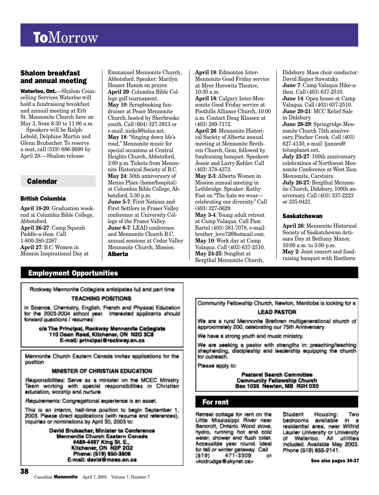## **ToMorrow**

#### Shalom breakfast and annual meeting

Waterloo, Ont.—Shalom Counselling Services Waterloo will hold a fundraising breakfast and annual meeting at Erb St. Mennonite Church here on May 3, from 8:30 to 11:00 a.m.

Speakers will be Ralph Lebold, Delphine Martin and Glenn Brubacher. To reserve a seat, call (519) 886-9690 by April 28.—Shalom release

#### Calendar

#### British Columbia

**April 18-20**: Graduation weekend at Columbia Bible College, Abbotsford. **April 26-27**: Camp Squeah Paddle-a-thon. Call 1-800-380-2267. **April 27**: B.C. Women in Mission Inspirational Day at

Emmanuel Mennonite Church, Abbotsford. Speaker: Marilyn Houser Hamm on prayer. **April 29**: Columbia Bible College golf tournament. **May 10**: Scrapbooking fundraiser at Peace Mennonite Church, hosted by Sherbrooke youth. Call (604) 327-3913 or e-mail: nickel@telus.net. **May 18**: "Singing down life's road," Mennonite music for special occasions at Central Heights Church, Abbotsford, 3:00 p.m. Tickets from Mennonite Historical Society of B.C. **May 24**: 50th anniversary of Menno Place (home/hospital) at Columbia Bible College, Abbotsford, 5:30 p.m. **June 5-7**: First Nations and First Settlers in Fraser Valley conference at University College of the Fraser Valley. **June 6-7**: LEAD conference and Mennonite Church B.C. annual sessions at Cedar Valley Mennonite Church, Mission. Alberta

**April 18**: Edmonton Inter-Mennonite Good Friday service at Myer Horowitz Theatre, 10:30 a.m.

**April 18**: Calgary Inter-Mennonite Good Friday service at Foothills Alliance Church, 10:00 a.m. Contact Doug Klassen at (403) 289-7172.

**April 26**: Mennonite Historical Society of Alberta annual meeting at Mennonite Brethren Church, Gem, followed by fundraising banquet. Speakers: Jessie and Larry Kehler. Call (403) 378-4372.

**May 2-3**: Alberta Women in Mission annual meeting in Lethbridge. Speaker: Kathy Fast on "The hats we wear celebrating our diversity." Call (403) 327-0629.

**May 3-4**: Young adult retreat at Camp Valaqua. Call Pam Bartel (403) 381-7078, e-mail: brother\_love72@hotmail.com. **May 10**: Work day at Camp Valaqua. Call (403) 637-2510. **May 24-25**: Songfest at Bergthal Mennonite Church,

Didsbury. Mass choir conductor: David Regier Sawatzky. **June 7**: Camp Valaqua Hike-athon. Call (403) 637-2510. **June 14**: Open house at Camp Valaqua. Call (403) 637-2510. **June 20-21**: MCC Relief Sale in Didsbury. **June 28-29**: Springridge Mennonite Church 75th anniversary, Pincher Creek. Call (403) 627-4130, e-mail: ljanzen@ telusplanet.net. **July 25-27**: 100th anniversary celebrations of Northwest Mennonite Conference at West Zion Mennonite, Carstairs. **July 26-27**: Bergthal Mennonite Church, Didsbury, 100th anniversary. Call (403) 337-2223

or 335-9421.

#### **Saskatchewan**

**April 26**: Mennonite Historical Society of Saskatchewan Artisans Day at Bethany Manor, 10:00 a.m. to 3:00 p.m. **May 2**: Joint concert and fundraising banquet with Rosthern

#### Employment Opportunities

Rockway Mennonite Collegiate anticipates full and part time

#### **TEACHING POSITIONS**

in Science, Chemistry, English, French and Physical Education for the 2003-2004 school year. Interested applicants should forward questions / resumes:

c/o The Principal, Rockway Mennonite Collegiate 110 Doon Road, Kitchener, ON N2G 3C8 E-mail: principal@rockway.on.ca

Mennonite Church Eastern Canada invites applications for the position

#### MINISTER OF CHRISTIAN EDUCATION

Responsibilities: Serve as a minister on the MCEC Ministry Team working with special responsibilities in Christian education, worship and nurture.

Requirements: Congregational experience is an asset.

This is an interim, half-time position to begin September 1, 2003. Please direct applications (with resume and references), inquiries or nominations by April 30, 2003 to:

> David Brubacher, Minister to Conference Mennonite Church Eastern Canada 4489-4497 King St. E.,<br>Kitchener, ON N2P 2G2 Phone: (519) 650-3806 E-mail: david@mcec.on.ca

Community Fellowship Church, Newton, Manitoba is looking for a **LEAD PASTOR** 

We are a rural Mennonite Brethren multigenerational church of approximately 200, celebrating our 75th Anniversary.

We have a strong youth and music ministry.

We are seeking a pastor with strengths in: preaching/teaching shepherding, discipleship and leadership equipping the church for outreach.

Please apply to:

**Pastoral Search Committee** Community Fellowship Church<br>Box 1035 Newton, MB R0H 0X0

#### For rent

Retreat cottage for rent on the Little Mississippi River near Bancroft, Ontario. Wood stove, hydro, running hot and cold water, shower and flush toilet. Accessible year round, Ideal for fall or winter getaway. Call  $(519)$ 471-3309 **OI** <kcdrudge@skynet.ca>

Student Housing: Two bedrooms available in a residential area, near Wilfrid Laurier University or University of Waterloo. Ali utilities included. Available May 2003. Phone (519) 655-2141.

See also pages 36-37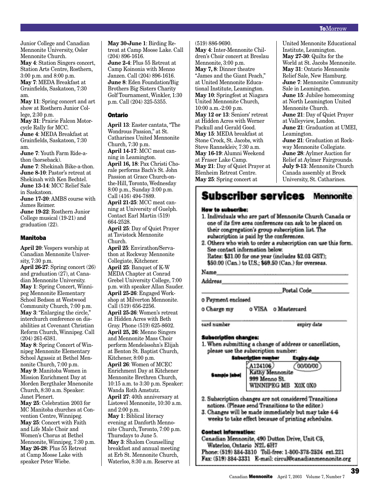Junior College and Canadian Mennonite University, Osler Mennonite Church. **May 4**: Station Singers concert, Station Arts Centre, Rosthern, 3:00 p.m. and 8:00 p.m. **May 7**: MEDA Breakfast at Grainfields, Saskatoon, 7:30 am.

**May 11**: Spring concert and art show at Rosthern Junior College, 2:30 p.m.

**May 31**: Prairie Falcon Motorcycle Rally for MCC. **June 4**: MEDA Breakfast at Grainfields, Saskatoon, 7:30 am.

**June 7**: Youth Farm Ride-athon (horseback). **June 7**: Shekinah Bike-a-thon. **June 8-10**: Pastor's retreat at Shekinah with Ken Bechtel. **June 13-14**: MCC Relief Sale in Saskatoon.

**June 17-20**: AMBS course with James Reimer. **June 19-22**: Rosthern Junior College musical (19-21) and graduation (22).

#### Manitoba

**April 20**: Vespers worship at Canadian Mennonite University, 7:30 p.m.

**April 26-27**: Spring concert (26) and graduation (27), at Canadian Mennonite University. **May 1**: Spring Concert, Winnipeg Mennonite Elementary School Bedson at Westwood Community Church, 7:00 p.m. **May 3**: "Enlarging the circle," interchurch conference on disabilities at Covenant Christian Reform Church, Winnipeg. Call (204) 261-6381.

**May 8**: Spring Concert of Winnipeg Mennonite Elementary School Agassiz at Bethel Mennonite Church, 7:00 p.m. **May 9**: Manitoba Women in Mission Enrichment Day at Morden Bergthaler Mnenonite Church, 8:30 a.m. Speaker: Janet Plenert.

**May 25**: Celebration 2003 for MC Manitoba churches at Convention Centre, Winnipeg. **May 25**: Concert with Faith and Life Male Choir and Women's Chorus at Bethel Mennonite, Winnipeg, 7:30 p.m. **May 26-28**: Plus 55 Retreat at Camp Moose Lake with speaker Peter Wiebe.

**May 30-June 1**: Birding Retreat at Camp Moose Lake. Call (204) 896-1616. **June 2-4**: Plus 55 Retreat at Camp Koinonia with Menno Janzen. Call (204) 896-1616. **June 8**: Eden Foundation/Big Brothers Big Sisters Charity Golf Tournament, Winkler, 1:30 p.m. Call (204) 325-5355.

#### Ontario

**April 13**: Easter cantata, "The Wondrous Passion," at St. Catharines United Mennonite Church, 7:30 p.m. **April 14-17**: MCC meat canning in Leamington. **April 16, 18**: Pax Christi Chorale performs Bach's St. John Passion at Grace Church-onthe-Hill, Toronto, Wednesday 8:00 p.m., Sunday 3:00 p.m. Call (416) 494-7889. **April 21-25**: MCC meat canning at University of Guelph. Contact Earl Martin (519) 664-2528. **April 25**: Day of Quiet Prayer at Tavistock Mennonite Church. **April 25**: Envirathon/Servathon at Rockway Mennonite Collegiate, Kitchener. **April 25**: Banquet of K-W MEDA Chapter at Conrad Grebel University College, 7:00 p.m. with speaker Allan Sauder. **April 25-26**: Engaged Work-

shop at Milverton Mennonite. Call (519) 656-2256. **April 25-26**: Women's retreat

at Hidden Acres with Beth Gray. Phone (519) 625-8602. **April 25, 26**: Menno Singers and Mennonite Mass Choir perform Mendelssohn's Elijah at Benton St. Baptist Church, Kitchener, 8:00 p.m. **April 26**: Women of MCEC Enrichment Day at Kitchener Mennonite Brethren Church, 10:15 a.m. to 3:30 p.m. Speaker: Wanda Roth Amstutz. **April 27**: 40th anniversary at Listowel Mennonite, 10:30 a.m. and 2:00 p.m. **May 1**: Biblical literacy evening at Danforth Mennonite Church, Toronto, 7:00 p.m. Thursdays to June 5. **May 3**: Shalom Counselling breakfast and annual meeting

at Erb St. Mennonite Church, Waterloo, 8:30 a.m. Reserve at

(519) 886-9690. **May 4**: Inter-Mennonite Children's Choir concert at Breslau Mennonite, 3:00 p.m. **May 7, 8**: Dinner theatre

"James and the Giant Peach," at United Mennonite Educational Institute, Leamington. **May 10**: Springfest at Niagara United Mennonite Church, 10:00 a.m.-2:00 p.m. **May 12 or 13**: Seniors' retreat at Hidden Acres with Werner Packull and Gerald Good. **May 15**: MEDA breakfast at Stone Crock, St. Jacobs, with Steve Rannekleiv, 7:30 a.m. **May 16-19**: Alumni Weekend at Fraser Lake Camp. **May 21**: Day of Quiet Prayer at Blenheim Retreat Centre. **May 25**: Spring concert at

United Mennonite Educational Institute, Leamington. **May 27-30**: Quilts for the World at St. Jacobs Mennonite. **May 31**: Ontario Mennonite Relief Sale, New Hamburg. **June 7**: Mennonite Community Sale in Leamington. **June 15**: Jubilee homecoming at North Leamington United Mennonite Church. **June 21**: Day of Quiet Prayer at Valleyview, London. **June 21**: Graduation at UMEI, Leamington. **June 21**: Graduation at Rockway Mennonite Collegiate. **June 28**: Aylmer Auction for Relief at Aylmer Fairgrounds. **July 9-13**: Mennonite Church Canada assembly at Brock University, St. Catharines.

#### **Subscriber services Mennonite**

#### How to subscribe:

- 1. Individuals who are part of Mennonite Church Canada or one of its five area conferences can ask to be placed on their congregation's group subscription list. The subscription is paid by the conferences.
- 2. Others who wish to order a subscription can use this form. See contact information below. Rates: \$31.00 for one year (includes \$2.03 GST): \$50.00 (Can.) to U.S.; \$69.50 (Can.) for overseas.

Name.

Address

Postal Code

o Payment enclosed

o Charge my o VISA o Mastercard

eard number

expiry date

#### Subscription changes:

1. When submitting a change of address or cancellation, please use the subscription number:

#### **Subscription number Expiry date**

| Kathy Mennonite<br>Sampjo jaboj<br>999 Meano St.<br>WINNIPEG MB X0X 0X0 | A124106<br>00/00/00 |
|-------------------------------------------------------------------------|---------------------|
|-------------------------------------------------------------------------|---------------------|

- 2. Subscription changes are not considered Transitions notices. (Please send Transitions to the editor.)
- 3. Changes will be made immediately but may take 4-6 weeks to take effect because of printing schedules.

#### **Contact information:**

Canadian Mennonite, 490 Dutton Drive, Unit C5, Waterloo, Ontario N2L 6H7 Phone: (519) 884-3810 Toll-free: 1-800-378-2524 ext.221 Fax: (519) 884-3331 E-mail: circul@canadianmennonite.org